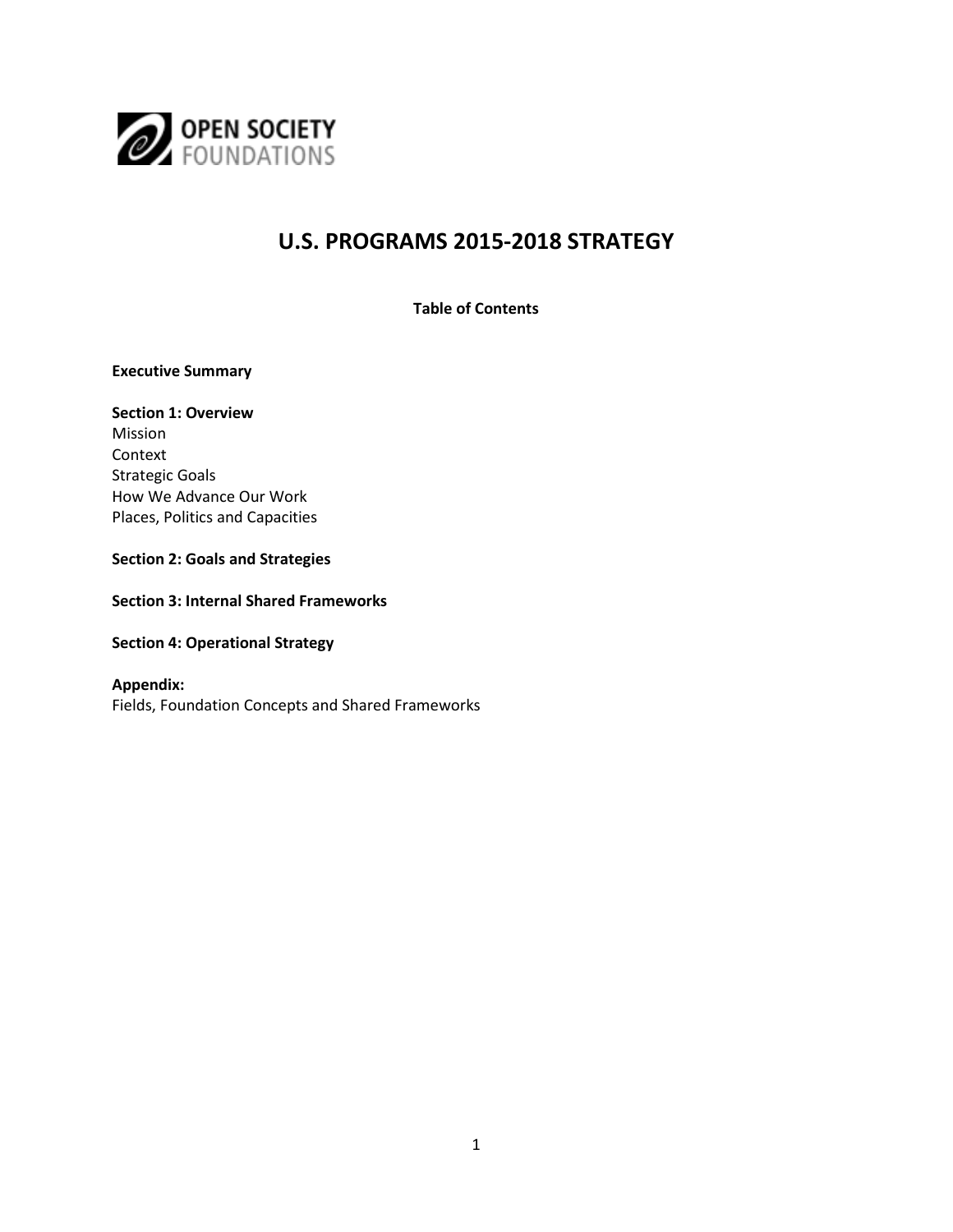

# **U.S. PROGRAMS 2015-2018 STRATEGY**

**Table of Contents**

**Executive Summary**

# **Section 1: Overview**  Mission Context

Strategic Goals How We Advance Our Work Places, Politics and Capacities

#### **Section 2: Goals and Strategies**

**Section 3: Internal Shared Frameworks**

**Section 4: Operational Strategy**

## **Appendix:** Fields, Foundation Concepts and Shared Frameworks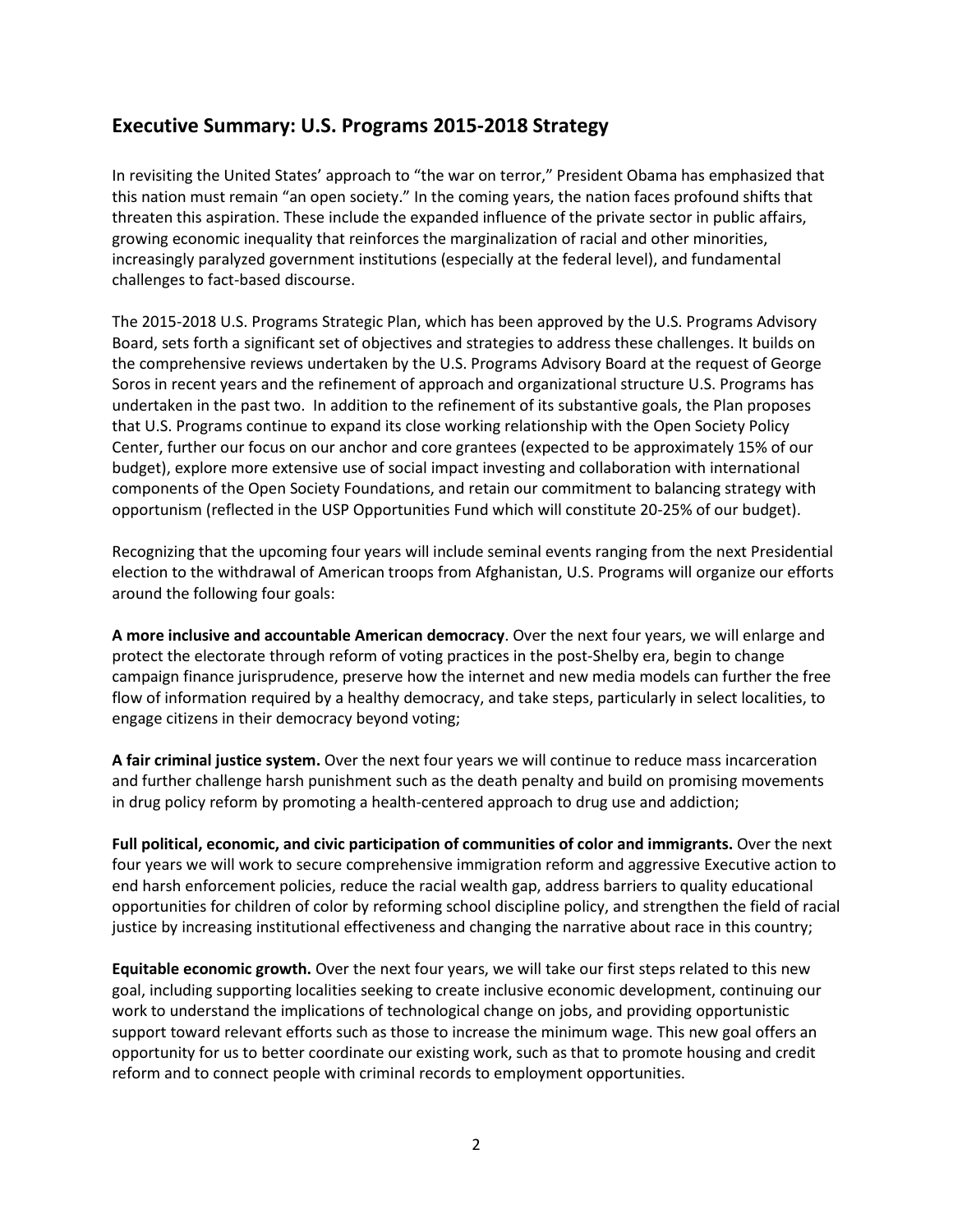# **Executive Summary: U.S. Programs 2015-2018 Strategy**

In revisiting the United States' approach to "the war on terror," President Obama has emphasized that this nation must remain "an open society." In the coming years, the nation faces profound shifts that threaten this aspiration. These include the expanded influence of the private sector in public affairs, growing economic inequality that reinforces the marginalization of racial and other minorities, increasingly paralyzed government institutions (especially at the federal level), and fundamental challenges to fact-based discourse.

The 2015-2018 U.S. Programs Strategic Plan, which has been approved by the U.S. Programs Advisory Board, sets forth a significant set of objectives and strategies to address these challenges. It builds on the comprehensive reviews undertaken by the U.S. Programs Advisory Board at the request of George Soros in recent years and the refinement of approach and organizational structure U.S. Programs has undertaken in the past two. In addition to the refinement of its substantive goals, the Plan proposes that U.S. Programs continue to expand its close working relationship with the Open Society Policy Center, further our focus on our anchor and core grantees (expected to be approximately 15% of our budget), explore more extensive use of social impact investing and collaboration with international components of the Open Society Foundations, and retain our commitment to balancing strategy with opportunism (reflected in the USP Opportunities Fund which will constitute 20-25% of our budget).

Recognizing that the upcoming four years will include seminal events ranging from the next Presidential election to the withdrawal of American troops from Afghanistan, U.S. Programs will organize our efforts around the following four goals:

**A more inclusive and accountable American democracy**. Over the next four years, we will enlarge and protect the electorate through reform of voting practices in the post-Shelby era, begin to change campaign finance jurisprudence, preserve how the internet and new media models can further the free flow of information required by a healthy democracy, and take steps, particularly in select localities, to engage citizens in their democracy beyond voting;

**A fair criminal justice system.** Over the next four years we will continue to reduce mass incarceration and further challenge harsh punishment such as the death penalty and build on promising movements in drug policy reform by promoting a health-centered approach to drug use and addiction;

**Full political, economic, and civic participation of communities of color and immigrants.** Over the next four years we will work to secure comprehensive immigration reform and aggressive Executive action to end harsh enforcement policies, reduce the racial wealth gap, address barriers to quality educational opportunities for children of color by reforming school discipline policy, and strengthen the field of racial justice by increasing institutional effectiveness and changing the narrative about race in this country;

**Equitable economic growth.** Over the next four years, we will take our first steps related to this new goal, including supporting localities seeking to create inclusive economic development, continuing our work to understand the implications of technological change on jobs, and providing opportunistic support toward relevant efforts such as those to increase the minimum wage. This new goal offers an opportunity for us to better coordinate our existing work, such as that to promote housing and credit reform and to connect people with criminal records to employment opportunities.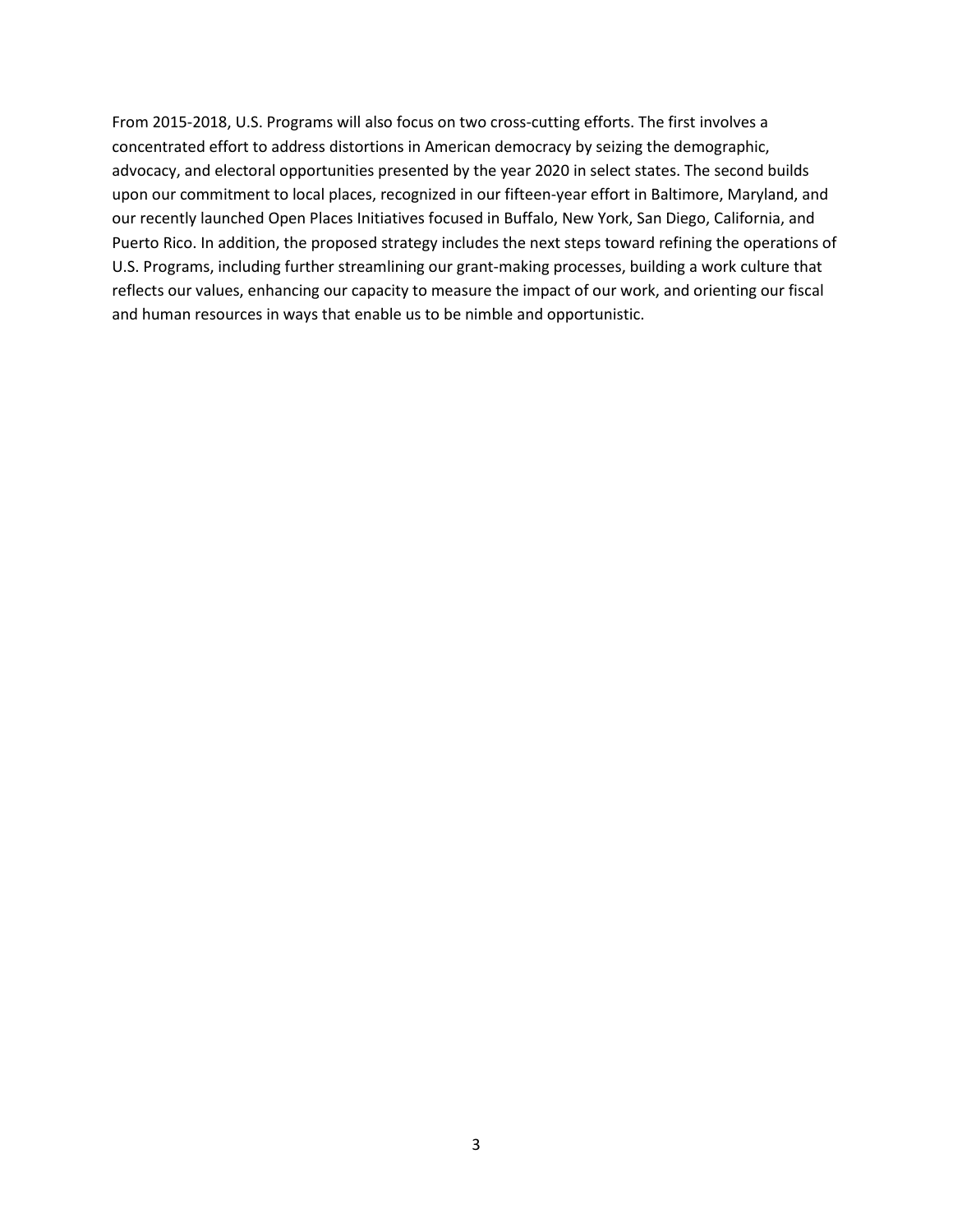From 2015-2018, U.S. Programs will also focus on two cross-cutting efforts. The first involves a concentrated effort to address distortions in American democracy by seizing the demographic, advocacy, and electoral opportunities presented by the year 2020 in select states. The second builds upon our commitment to local places, recognized in our fifteen-year effort in Baltimore, Maryland, and our recently launched Open Places Initiatives focused in Buffalo, New York, San Diego, California, and Puerto Rico. In addition, the proposed strategy includes the next steps toward refining the operations of U.S. Programs, including further streamlining our grant-making processes, building a work culture that reflects our values, enhancing our capacity to measure the impact of our work, and orienting our fiscal and human resources in ways that enable us to be nimble and opportunistic.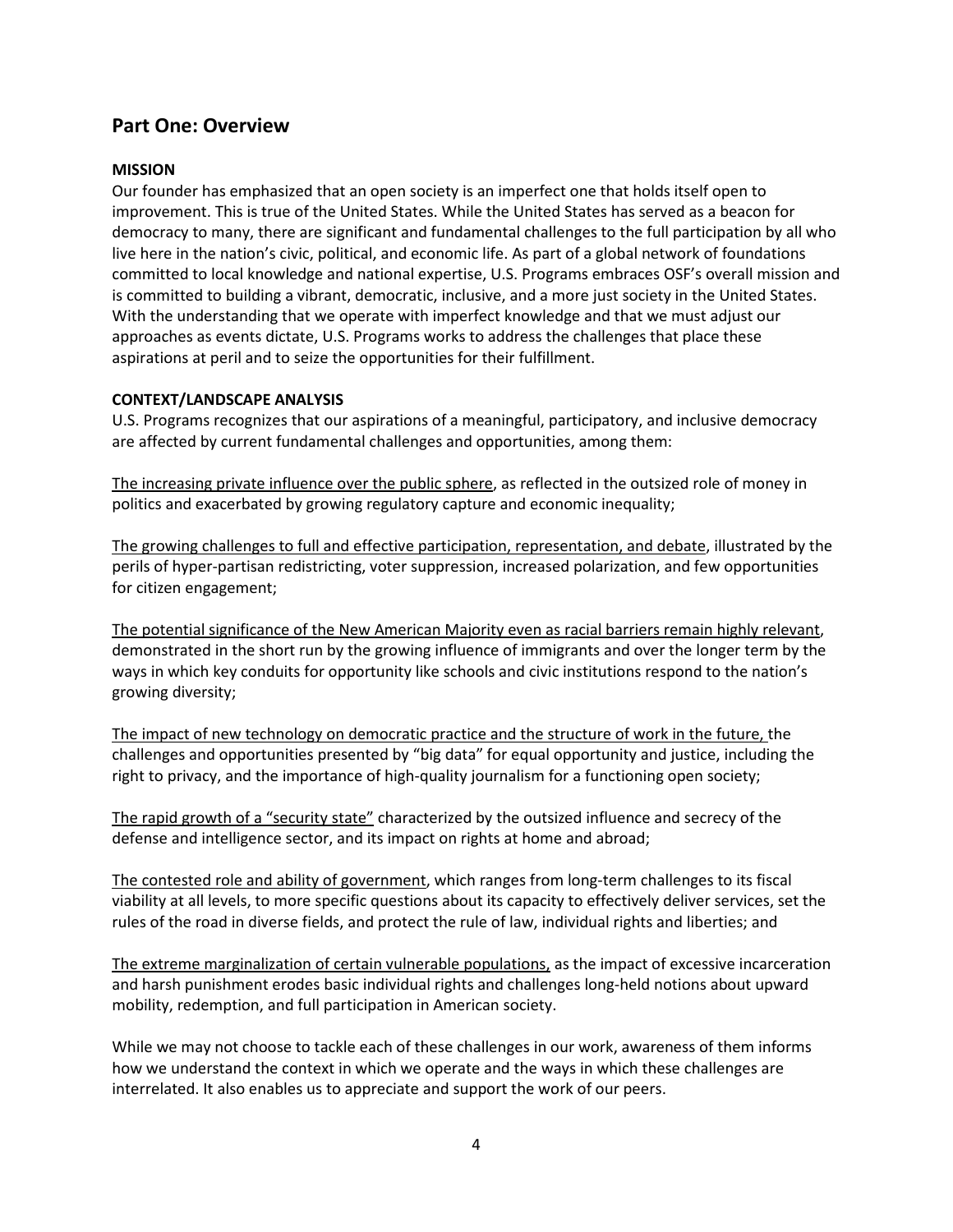# **Part One: Overview**

#### **MISSION**

Our founder has emphasized that an open society is an imperfect one that holds itself open to improvement. This is true of the United States. While the United States has served as a beacon for democracy to many, there are significant and fundamental challenges to the full participation by all who live here in the nation's civic, political, and economic life. As part of a global network of foundations committed to local knowledge and national expertise, U.S. Programs embraces OSF's overall mission and is committed to building a vibrant, democratic, inclusive, and a more just society in the United States. With the understanding that we operate with imperfect knowledge and that we must adjust our approaches as events dictate, U.S. Programs works to address the challenges that place these aspirations at peril and to seize the opportunities for their fulfillment.

#### **CONTEXT/LANDSCAPE ANALYSIS**

U.S. Programs recognizes that our aspirations of a meaningful, participatory, and inclusive democracy are affected by current fundamental challenges and opportunities, among them:

The increasing private influence over the public sphere, as reflected in the outsized role of money in politics and exacerbated by growing regulatory capture and economic inequality;

The growing challenges to full and effective participation, representation, and debate, illustrated by the perils of hyper-partisan redistricting, voter suppression, increased polarization, and few opportunities for citizen engagement;

The potential significance of the New American Majority even as racial barriers remain highly relevant, demonstrated in the short run by the growing influence of immigrants and over the longer term by the ways in which key conduits for opportunity like schools and civic institutions respond to the nation's growing diversity;

The impact of new technology on democratic practice and the structure of work in the future, the challenges and opportunities presented by "big data" for equal opportunity and justice, including the right to privacy, and the importance of high-quality journalism for a functioning open society;

The rapid growth of a "security state" characterized by the outsized influence and secrecy of the defense and intelligence sector, and its impact on rights at home and abroad;

The contested role and ability of government, which ranges from long-term challenges to its fiscal viability at all levels, to more specific questions about its capacity to effectively deliver services, set the rules of the road in diverse fields, and protect the rule of law, individual rights and liberties; and

The extreme marginalization of certain vulnerable populations, as the impact of excessive incarceration and harsh punishment erodes basic individual rights and challenges long-held notions about upward mobility, redemption, and full participation in American society.

While we may not choose to tackle each of these challenges in our work, awareness of them informs how we understand the context in which we operate and the ways in which these challenges are interrelated. It also enables us to appreciate and support the work of our peers.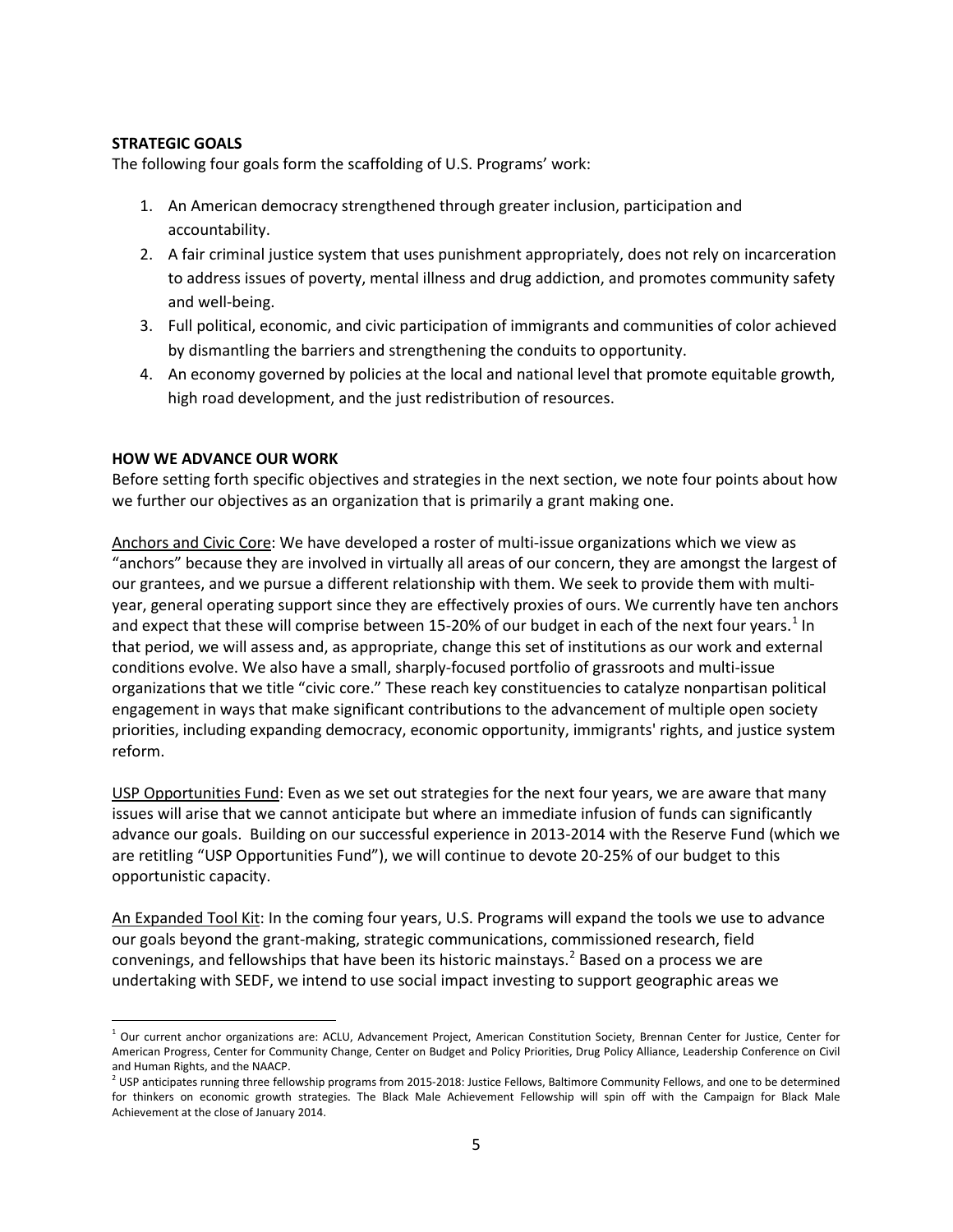#### **STRATEGIC GOALS**

The following four goals form the scaffolding of U.S. Programs' work:

- 1. An American democracy strengthened through greater inclusion, participation and accountability.
- 2. A fair criminal justice system that uses punishment appropriately, does not rely on incarceration to address issues of poverty, mental illness and drug addiction, and promotes community safety and well-being.
- 3. Full political, economic, and civic participation of immigrants and communities of color achieved by dismantling the barriers and strengthening the conduits to opportunity.
- 4. An economy governed by policies at the local and national level that promote equitable growth, high road development, and the just redistribution of resources.

#### **HOW WE ADVANCE OUR WORK**

 $\overline{\phantom{a}}$ 

Before setting forth specific objectives and strategies in the next section, we note four points about how we further our objectives as an organization that is primarily a grant making one.

Anchors and Civic Core: We have developed a roster of multi-issue organizations which we view as "anchors" because they are involved in virtually all areas of our concern, they are amongst the largest of our grantees, and we pursue a different relationship with them. We seek to provide them with multiyear, general operating support since they are effectively proxies of ours. We currently have ten anchors and expect that these will comprise between [1](#page-4-0)5-20% of our budget in each of the next four years.<sup>1</sup> In that period, we will assess and, as appropriate, change this set of institutions as our work and external conditions evolve. We also have a small, sharply-focused portfolio of grassroots and multi-issue organizations that we title "civic core." These reach key constituencies to catalyze nonpartisan political engagement in ways that make significant contributions to the advancement of multiple open society priorities, including expanding democracy, economic opportunity, immigrants' rights, and justice system reform.

USP Opportunities Fund: Even as we set out strategies for the next four years, we are aware that many issues will arise that we cannot anticipate but where an immediate infusion of funds can significantly advance our goals. Building on our successful experience in 2013-2014 with the Reserve Fund (which we are retitling "USP Opportunities Fund"), we will continue to devote 20-25% of our budget to this opportunistic capacity.

An Expanded Tool Kit: In the coming four years, U.S. Programs will expand the tools we use to advance our goals beyond the grant-making, strategic communications, commissioned research, field convenings, and fellowships that have been its historic mainstays.<sup>[2](#page-4-1)</sup> Based on a process we are undertaking with SEDF, we intend to use social impact investing to support geographic areas we

<span id="page-4-0"></span> $1$  Our current anchor organizations are: ACLU, Advancement Project, American Constitution Society, Brennan Center for Justice, Center for American Progress, Center for Community Change, Center on Budget and Policy Priorities, Drug Policy Alliance, Leadership Conference on Civil and Human Rights, and the NAACP.

<span id="page-4-1"></span><sup>&</sup>lt;sup>2</sup> USP anticipates running three fellowship programs from 2015-2018: Justice Fellows, Baltimore Community Fellows, and one to be determined for thinkers on economic growth strategies. The Black Male Achievement Fellowship will spin off with the Campaign for Black Male Achievement at the close of January 2014.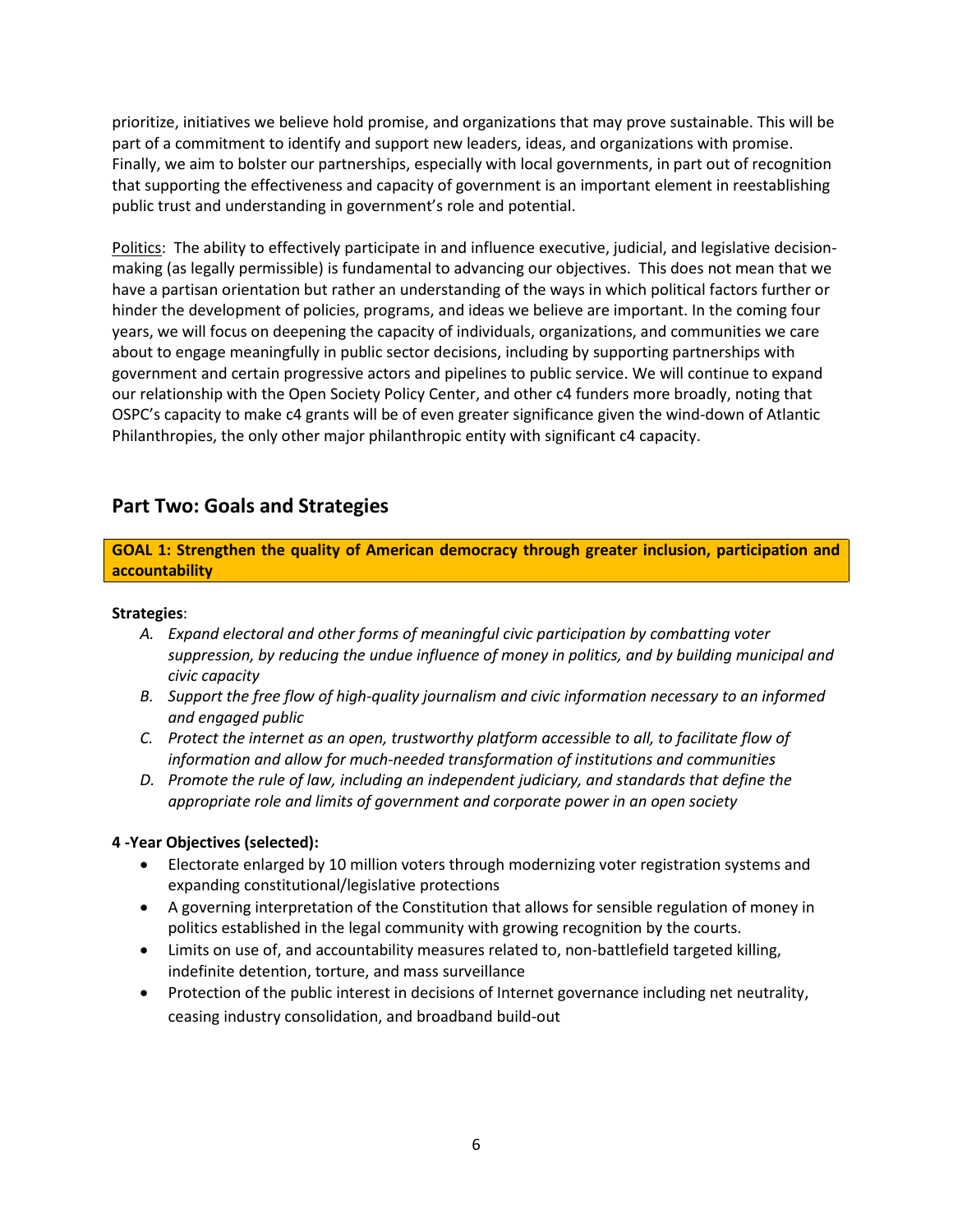prioritize, initiatives we believe hold promise, and organizations that may prove sustainable. This will be part of a commitment to identify and support new leaders, ideas, and organizations with promise. Finally, we aim to bolster our partnerships, especially with local governments, in part out of recognition that supporting the effectiveness and capacity of government is an important element in reestablishing public trust and understanding in government's role and potential.

Politics: The ability to effectively participate in and influence executive, judicial, and legislative decisionmaking (as legally permissible) is fundamental to advancing our objectives. This does not mean that we have a partisan orientation but rather an understanding of the ways in which political factors further or hinder the development of policies, programs, and ideas we believe are important. In the coming four years, we will focus on deepening the capacity of individuals, organizations, and communities we care about to engage meaningfully in public sector decisions, including by supporting partnerships with government and certain progressive actors and pipelines to public service. We will continue to expand our relationship with the Open Society Policy Center, and other c4 funders more broadly, noting that OSPC's capacity to make c4 grants will be of even greater significance given the wind-down of Atlantic Philanthropies, the only other major philanthropic entity with significant c4 capacity.

# **Part Two: Goals and Strategies**

**GOAL 1: Strengthen the quality of American democracy through greater inclusion, participation and accountability** 

#### **Strategies**:

- *A. Expand electoral and other forms of meaningful civic participation by combatting voter suppression, by reducing the undue influence of money in politics, and by building municipal and civic capacity*
- *B. Support the free flow of high-quality journalism and civic information necessary to an informed and engaged public*
- *C. Protect the internet as an open, trustworthy platform accessible to all, to facilitate flow of information and allow for much-needed transformation of institutions and communities*
- *D. Promote the rule of law, including an independent judiciary, and standards that define the appropriate role and limits of government and corporate power in an open society*

#### **4 -Year Objectives (selected):**

- Electorate enlarged by 10 million voters through modernizing voter registration systems and expanding constitutional/legislative protections
- A governing interpretation of the Constitution that allows for sensible regulation of money in politics established in the legal community with growing recognition by the courts.
- Limits on use of, and accountability measures related to, non-battlefield targeted killing, indefinite detention, torture, and mass surveillance
- Protection of the public interest in decisions of Internet governance including net neutrality, ceasing industry consolidation, and broadband build-out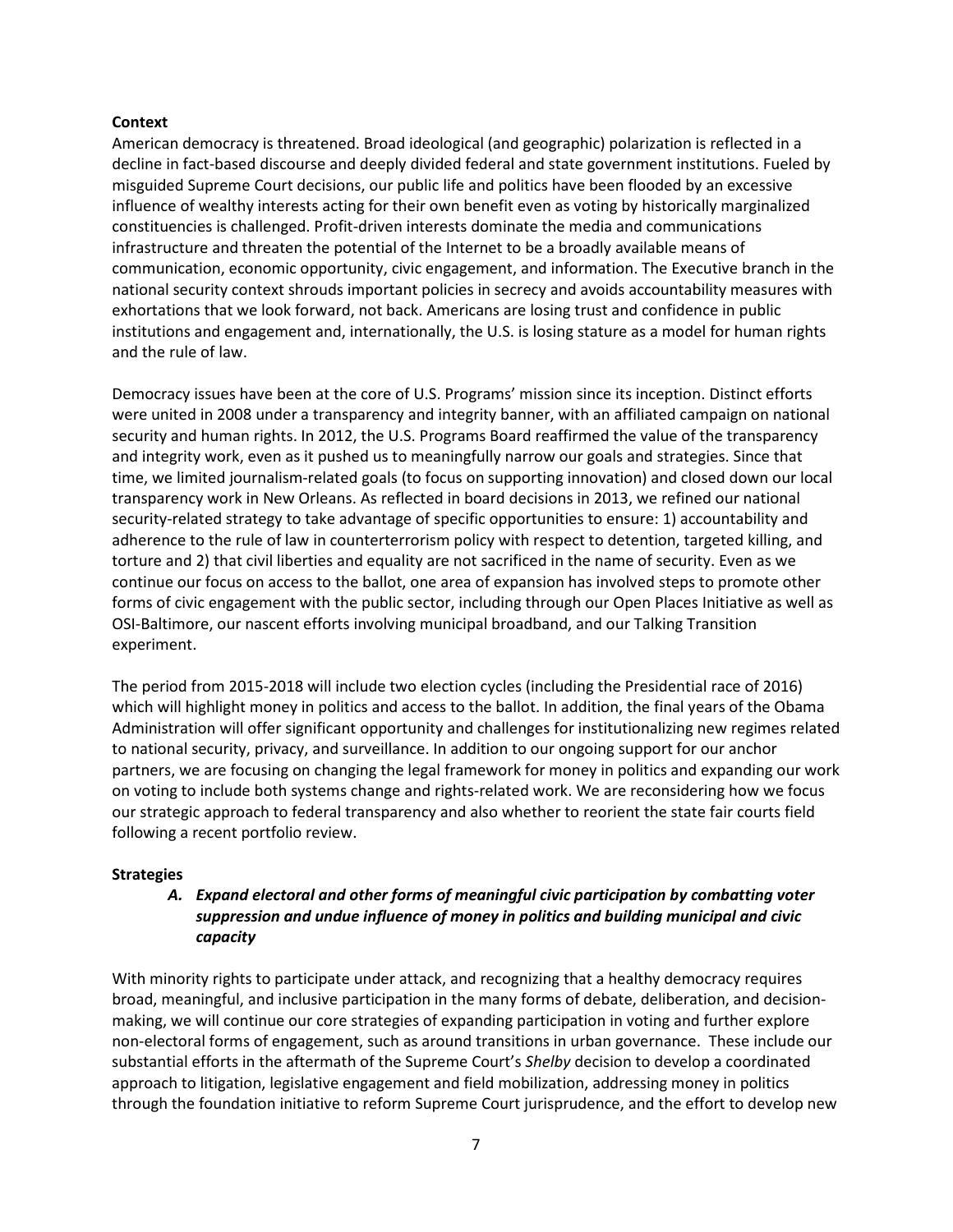#### **Context**

American democracy is threatened. Broad ideological (and geographic) polarization is reflected in a decline in fact-based discourse and deeply divided federal and state government institutions. Fueled by misguided Supreme Court decisions, our public life and politics have been flooded by an excessive influence of wealthy interests acting for their own benefit even as voting by historically marginalized constituencies is challenged. Profit-driven interests dominate the media and communications infrastructure and threaten the potential of the Internet to be a broadly available means of communication, economic opportunity, civic engagement, and information. The Executive branch in the national security context shrouds important policies in secrecy and avoids accountability measures with exhortations that we look forward, not back. Americans are losing trust and confidence in public institutions and engagement and, internationally, the U.S. is losing stature as a model for human rights and the rule of law.

Democracy issues have been at the core of U.S. Programs' mission since its inception. Distinct efforts were united in 2008 under a transparency and integrity banner, with an affiliated campaign on national security and human rights. In 2012, the U.S. Programs Board reaffirmed the value of the transparency and integrity work, even as it pushed us to meaningfully narrow our goals and strategies. Since that time, we limited journalism-related goals (to focus on supporting innovation) and closed down our local transparency work in New Orleans. As reflected in board decisions in 2013, we refined our national security-related strategy to take advantage of specific opportunities to ensure: 1) accountability and adherence to the rule of law in counterterrorism policy with respect to detention, targeted killing, and torture and 2) that civil liberties and equality are not sacrificed in the name of security. Even as we continue our focus on access to the ballot, one area of expansion has involved steps to promote other forms of civic engagement with the public sector, including through our Open Places Initiative as well as OSI-Baltimore, our nascent efforts involving municipal broadband, and our Talking Transition experiment.

The period from 2015-2018 will include two election cycles (including the Presidential race of 2016) which will highlight money in politics and access to the ballot. In addition, the final years of the Obama Administration will offer significant opportunity and challenges for institutionalizing new regimes related to national security, privacy, and surveillance. In addition to our ongoing support for our anchor partners, we are focusing on changing the legal framework for money in politics and expanding our work on voting to include both systems change and rights-related work. We are reconsidering how we focus our strategic approach to federal transparency and also whether to reorient the state fair courts field following a recent portfolio review.

#### **Strategies**

## *A. Expand electoral and other forms of meaningful civic participation by combatting voter suppression and undue influence of money in politics and building municipal and civic capacity*

With minority rights to participate under attack, and recognizing that a healthy democracy requires broad, meaningful, and inclusive participation in the many forms of debate, deliberation, and decisionmaking, we will continue our core strategies of expanding participation in voting and further explore non-electoral forms of engagement, such as around transitions in urban governance. These include our substantial efforts in the aftermath of the Supreme Court's *Shelby* decision to develop a coordinated approach to litigation, legislative engagement and field mobilization, addressing money in politics through the foundation initiative to reform Supreme Court jurisprudence, and the effort to develop new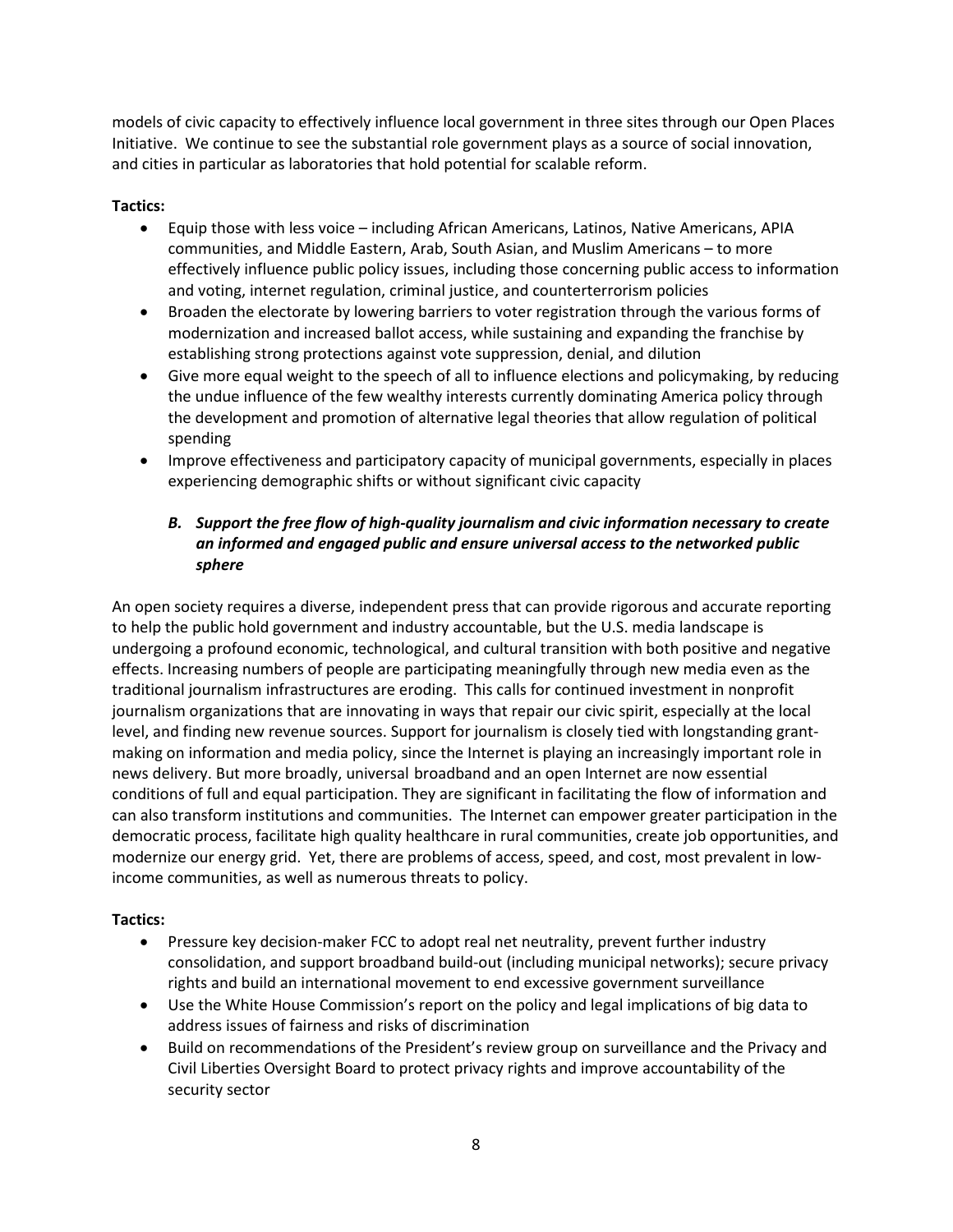models of civic capacity to effectively influence local government in three sites through our Open Places Initiative. We continue to see the substantial role government plays as a source of social innovation, and cities in particular as laboratories that hold potential for scalable reform.

#### **Tactics:**

- Equip those with less voice including African Americans, Latinos, Native Americans, APIA communities, and Middle Eastern, Arab, South Asian, and Muslim Americans – to more effectively influence public policy issues, including those concerning public access to information and voting, internet regulation, criminal justice, and counterterrorism policies
- Broaden the electorate by lowering barriers to voter registration through the various forms of modernization and increased ballot access, while sustaining and expanding the franchise by establishing strong protections against vote suppression, denial, and dilution
- Give more equal weight to the speech of all to influence elections and policymaking, by reducing the undue influence of the few wealthy interests currently dominating America policy through the development and promotion of alternative legal theories that allow regulation of political spending
- Improve effectiveness and participatory capacity of municipal governments, especially in places experiencing demographic shifts or without significant civic capacity

# *B. Support the free flow of high-quality journalism and civic information necessary to create an informed and engaged public and ensure universal access to the networked public sphere*

An open society requires a diverse, independent press that can provide rigorous and accurate reporting to help the public hold government and industry accountable, but the U.S. media landscape is undergoing a profound economic, technological, and cultural transition with both positive and negative effects. Increasing numbers of people are participating meaningfully through new media even as the traditional journalism infrastructures are eroding. This calls for continued investment in nonprofit journalism organizations that are innovating in ways that repair our civic spirit, especially at the local level, and finding new revenue sources. Support for journalism is closely tied with longstanding grantmaking on information and media policy, since the Internet is playing an increasingly important role in news delivery. But more broadly, universal broadband and an open Internet are now essential conditions of full and equal participation. They are significant in facilitating the flow of information and can also transform institutions and communities. The Internet can empower greater participation in the democratic process, facilitate high quality healthcare in rural communities, create job opportunities, and modernize our energy grid. Yet, there are problems of access, speed, and cost, most prevalent in lowincome communities, as well as numerous threats to policy.

## **Tactics:**

- Pressure key decision-maker FCC to adopt real net neutrality, prevent further industry consolidation, and support broadband build-out (including municipal networks); secure privacy rights and build an international movement to end excessive government surveillance
- Use the White House Commission's report on the policy and legal implications of big data to address issues of fairness and risks of discrimination
- Build on recommendations of the President's review group on surveillance and the Privacy and Civil Liberties Oversight Board to protect privacy rights and improve accountability of the security sector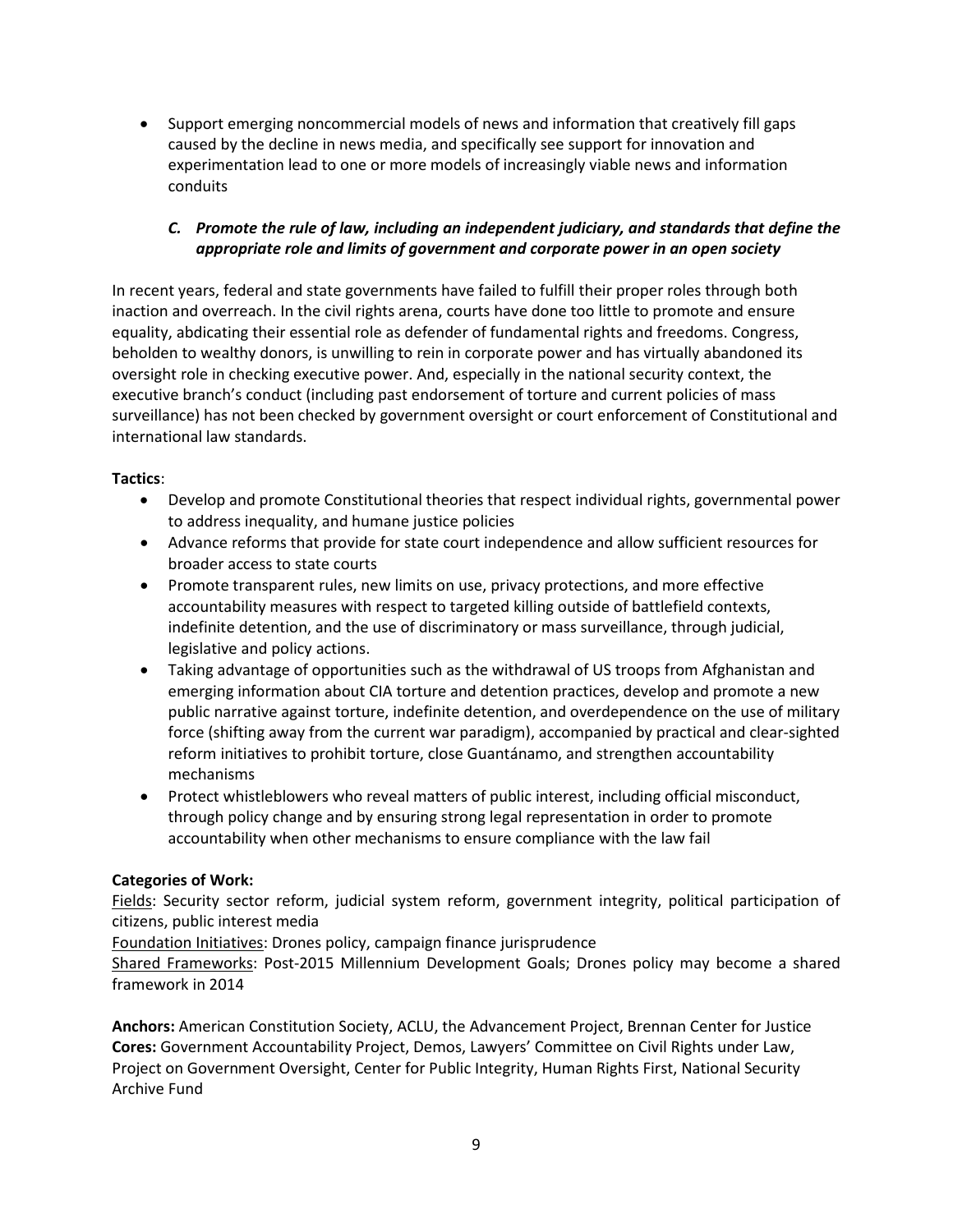• Support emerging noncommercial models of news and information that creatively fill gaps caused by the decline in news media, and specifically see support for innovation and experimentation lead to one or more models of increasingly viable news and information conduits

## *C. Promote the rule of law, including an independent judiciary, and standards that define the appropriate role and limits of government and corporate power in an open society*

In recent years, federal and state governments have failed to fulfill their proper roles through both inaction and overreach. In the civil rights arena, courts have done too little to promote and ensure equality, abdicating their essential role as defender of fundamental rights and freedoms. Congress, beholden to wealthy donors, is unwilling to rein in corporate power and has virtually abandoned its oversight role in checking executive power. And, especially in the national security context, the executive branch's conduct (including past endorsement of torture and current policies of mass surveillance) has not been checked by government oversight or court enforcement of Constitutional and international law standards.

## **Tactics**:

- Develop and promote Constitutional theories that respect individual rights, governmental power to address inequality, and humane justice policies
- Advance reforms that provide for state court independence and allow sufficient resources for broader access to state courts
- Promote transparent rules, new limits on use, privacy protections, and more effective accountability measures with respect to targeted killing outside of battlefield contexts, indefinite detention, and the use of discriminatory or mass surveillance, through judicial, legislative and policy actions.
- Taking advantage of opportunities such as the withdrawal of US troops from Afghanistan and emerging information about CIA torture and detention practices, develop and promote a new public narrative against torture, indefinite detention, and overdependence on the use of military force (shifting away from the current war paradigm), accompanied by practical and clear-sighted reform initiatives to prohibit torture, close Guantánamo, and strengthen accountability mechanisms
- Protect whistleblowers who reveal matters of public interest, including official misconduct, through policy change and by ensuring strong legal representation in order to promote accountability when other mechanisms to ensure compliance with the law fail

## **Categories of Work:**

Fields: Security sector reform, judicial system reform, government integrity, political participation of citizens, public interest media

Foundation Initiatives: Drones policy, campaign finance jurisprudence

Shared Frameworks: Post-2015 Millennium Development Goals; Drones policy may become a shared framework in 2014

**Anchors:** American Constitution Society, ACLU, the Advancement Project, Brennan Center for Justice **Cores:** Government Accountability Project, Demos, Lawyers' Committee on Civil Rights under Law, Project on Government Oversight, Center for Public Integrity, Human Rights First, National Security Archive Fund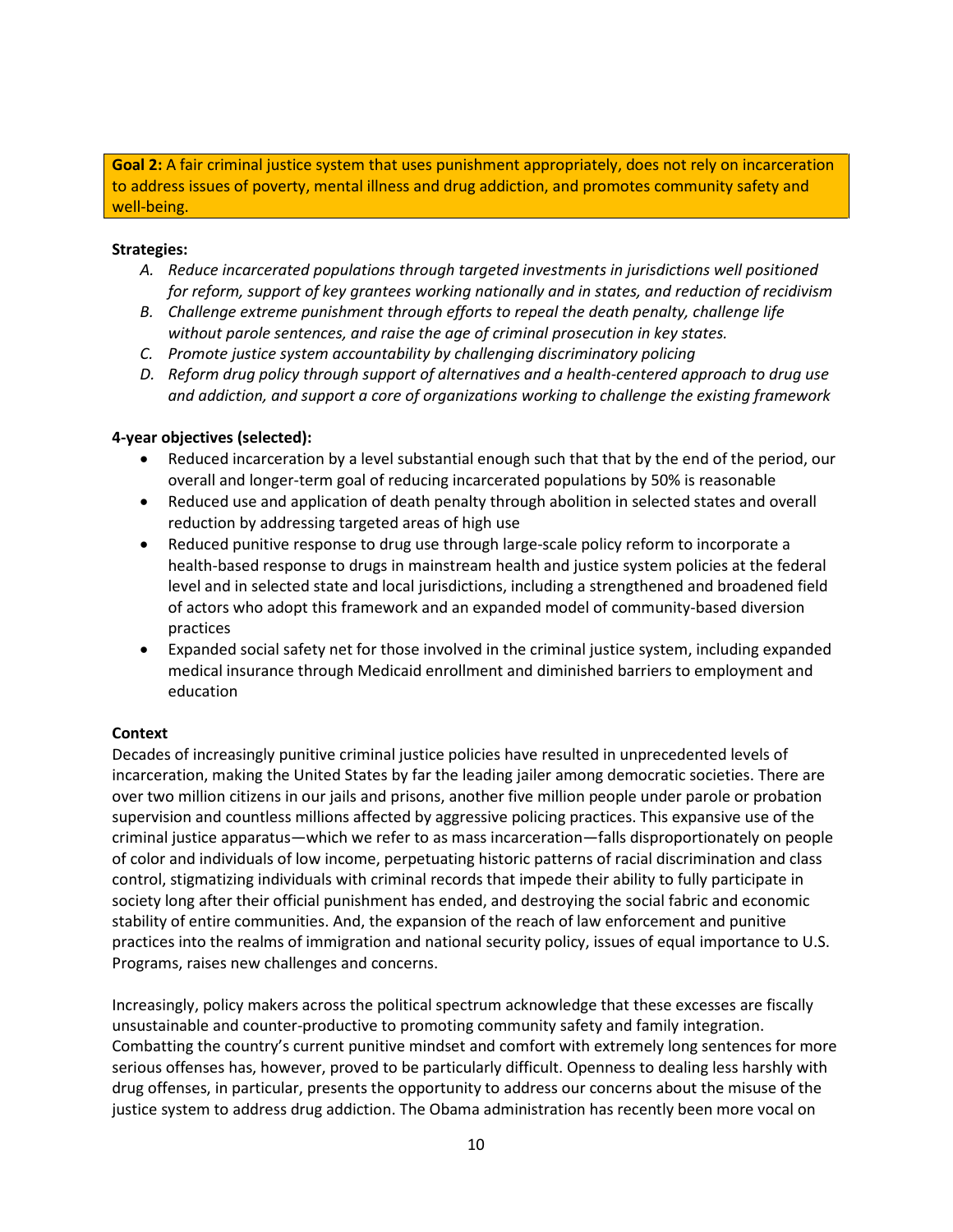**Goal 2:** A fair criminal justice system that uses punishment appropriately, does not rely on incarceration to address issues of poverty, mental illness and drug addiction, and promotes community safety and well-being.

#### **Strategies:**

- *A. Reduce incarcerated populations through targeted investments in jurisdictions well positioned for reform, support of key grantees working nationally and in states, and reduction of recidivism*
- *B. Challenge extreme punishment through efforts to repeal the death penalty, challenge life without parole sentences, and raise the age of criminal prosecution in key states.*
- *C. Promote justice system accountability by challenging discriminatory policing*
- *D. Reform drug policy through support of alternatives and a health-centered approach to drug use and addiction, and support a core of organizations working to challenge the existing framework*

#### **4-year objectives (selected):**

- Reduced incarceration by a level substantial enough such that that by the end of the period, our overall and longer-term goal of reducing incarcerated populations by 50% is reasonable
- Reduced use and application of death penalty through abolition in selected states and overall reduction by addressing targeted areas of high use
- Reduced punitive response to drug use through large-scale policy reform to incorporate a health-based response to drugs in mainstream health and justice system policies at the federal level and in selected state and local jurisdictions, including a strengthened and broadened field of actors who adopt this framework and an expanded model of community-based diversion practices
- Expanded social safety net for those involved in the criminal justice system, including expanded medical insurance through Medicaid enrollment and diminished barriers to employment and education

#### **Context**

Decades of increasingly punitive criminal justice policies have resulted in unprecedented levels of incarceration, making the United States by far the leading jailer among democratic societies. There are over two million citizens in our jails and prisons, another five million people under parole or probation supervision and countless millions affected by aggressive policing practices. This expansive use of the criminal justice apparatus—which we refer to as mass incarceration—falls disproportionately on people of color and individuals of low income, perpetuating historic patterns of racial discrimination and class control, stigmatizing individuals with criminal records that impede their ability to fully participate in society long after their official punishment has ended, and destroying the social fabric and economic stability of entire communities. And, the expansion of the reach of law enforcement and punitive practices into the realms of immigration and national security policy, issues of equal importance to U.S. Programs, raises new challenges and concerns.

Increasingly, policy makers across the political spectrum acknowledge that these excesses are fiscally unsustainable and counter-productive to promoting community safety and family integration. Combatting the country's current punitive mindset and comfort with extremely long sentences for more serious offenses has, however, proved to be particularly difficult. Openness to dealing less harshly with drug offenses, in particular, presents the opportunity to address our concerns about the misuse of the justice system to address drug addiction. The Obama administration has recently been more vocal on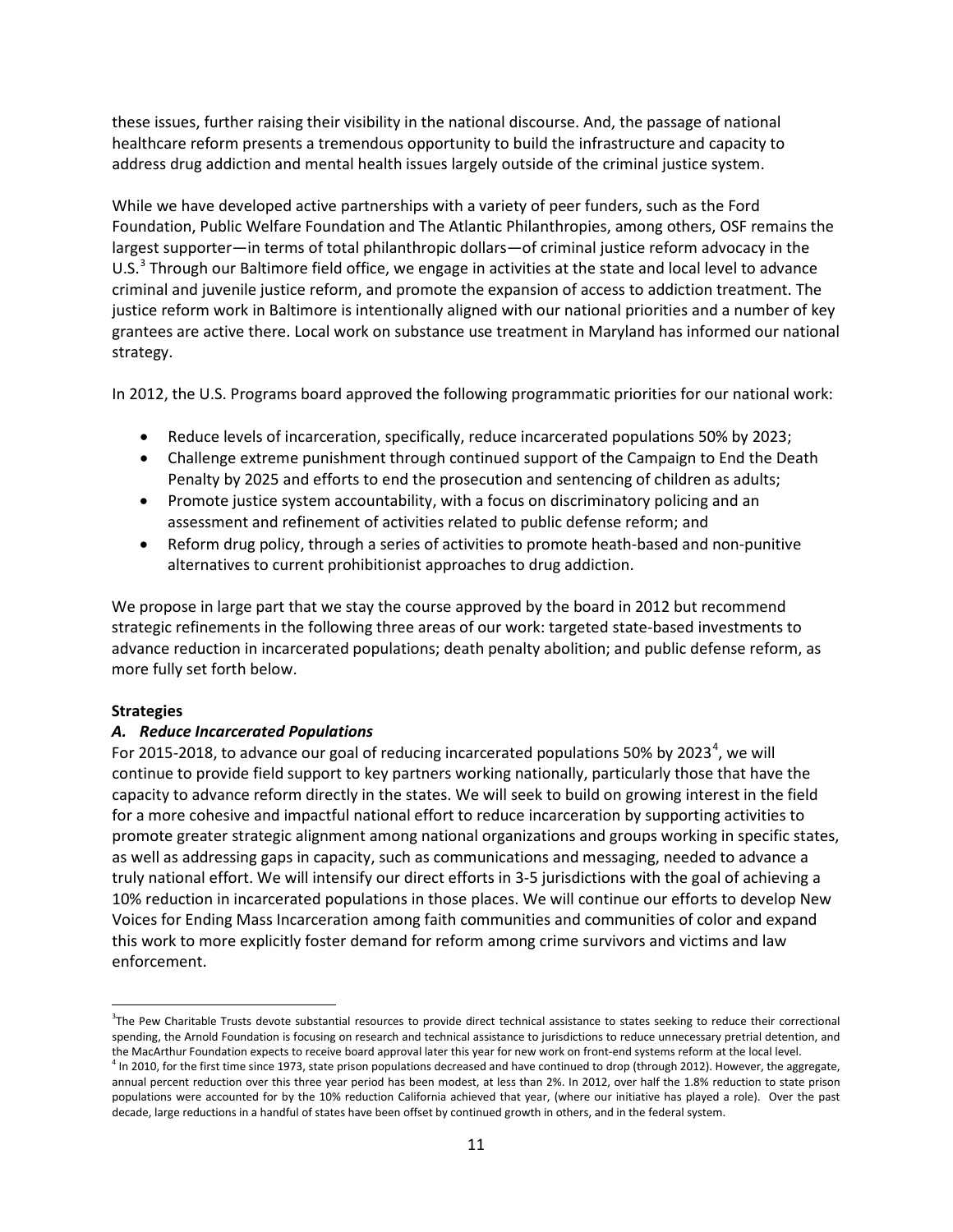these issues, further raising their visibility in the national discourse. And, the passage of national healthcare reform presents a tremendous opportunity to build the infrastructure and capacity to address drug addiction and mental health issues largely outside of the criminal justice system.

While we have developed active partnerships with a variety of peer funders, such as the Ford Foundation, Public Welfare Foundation and The Atlantic Philanthropies, among others, OSF remains the largest supporter—in terms of total philanthropic dollars—of criminal justice reform advocacy in the U.S.<sup>[3](#page-10-0)</sup> Through our Baltimore field office, we engage in activities at the state and local level to advance criminal and juvenile justice reform, and promote the expansion of access to addiction treatment. The justice reform work in Baltimore is intentionally aligned with our national priorities and a number of key grantees are active there. Local work on substance use treatment in Maryland has informed our national strategy.

In 2012, the U.S. Programs board approved the following programmatic priorities for our national work:

- Reduce levels of incarceration, specifically, reduce incarcerated populations 50% by 2023;
- Challenge extreme punishment through continued support of the Campaign to End the Death Penalty by 2025 and efforts to end the prosecution and sentencing of children as adults;
- Promote justice system accountability, with a focus on discriminatory policing and an assessment and refinement of activities related to public defense reform; and
- Reform drug policy, through a series of activities to promote heath-based and non-punitive alternatives to current prohibitionist approaches to drug addiction.

We propose in large part that we stay the course approved by the board in 2012 but recommend strategic refinements in the following three areas of our work: targeted state-based investments to advance reduction in incarcerated populations; death penalty abolition; and public defense reform, as more fully set forth below.

#### **Strategies**

l

#### *A. Reduce Incarcerated Populations*

For 2015-2018, to advance our goal of reducing incarcerated populations 50% by 2023<sup>[4](#page-10-1)</sup>, we will continue to provide field support to key partners working nationally, particularly those that have the capacity to advance reform directly in the states. We will seek to build on growing interest in the field for a more cohesive and impactful national effort to reduce incarceration by supporting activities to promote greater strategic alignment among national organizations and groups working in specific states, as well as addressing gaps in capacity, such as communications and messaging, needed to advance a truly national effort. We will intensify our direct efforts in 3-5 jurisdictions with the goal of achieving a 10% reduction in incarcerated populations in those places. We will continue our efforts to develop New Voices for Ending Mass Incarceration among faith communities and communities of color and expand this work to more explicitly foster demand for reform among crime survivors and victims and law enforcement.

<span id="page-10-0"></span><sup>&</sup>lt;sup>3</sup>The Pew Charitable Trusts devote substantial resources to provide direct technical assistance to states seeking to reduce their correctional spending, the Arnold Foundation is focusing on research and technical assistance to jurisdictions to reduce unnecessary pretrial detention, and

<span id="page-10-1"></span>the MacArthur Foundation expects to receive board approval later this year for new work on front-end systems reform at the local level.<br><sup>4</sup> In 2010, for the first time since 1973, state prison populations decreased and hav annual percent reduction over this three year period has been modest, at less than 2%. In 2012, over half the 1.8% reduction to state prison populations were accounted for by the 10% reduction California achieved that year, (where our initiative has played a role). Over the past decade, large reductions in a handful of states have been offset by continued growth in others, and in the federal system.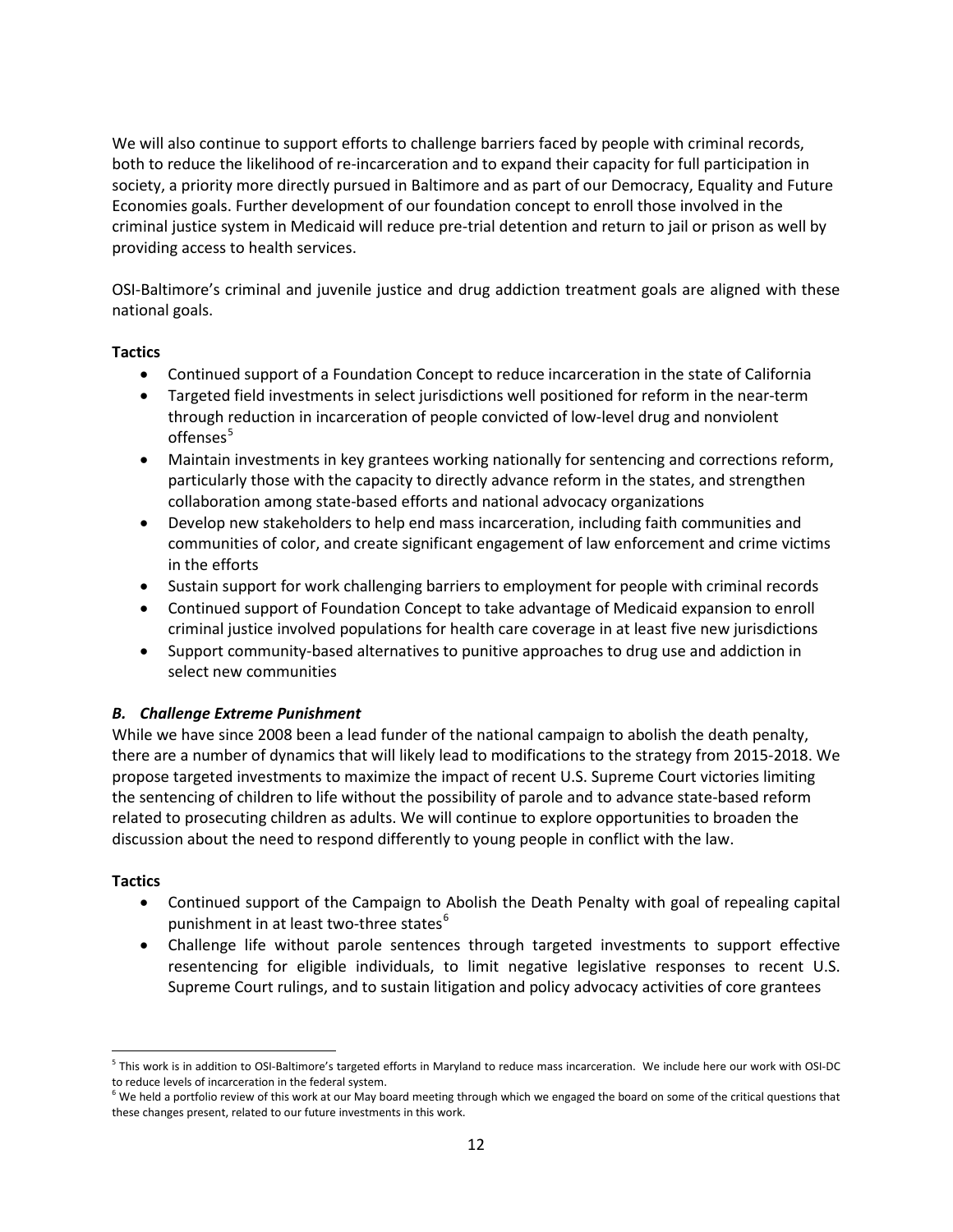We will also continue to support efforts to challenge barriers faced by people with criminal records, both to reduce the likelihood of re-incarceration and to expand their capacity for full participation in society, a priority more directly pursued in Baltimore and as part of our Democracy, Equality and Future Economies goals. Further development of our foundation concept to enroll those involved in the criminal justice system in Medicaid will reduce pre-trial detention and return to jail or prison as well by providing access to health services.

OSI-Baltimore's criminal and juvenile justice and drug addiction treatment goals are aligned with these national goals.

#### **Tactics**

- Continued support of a Foundation Concept to reduce incarceration in the state of California
- Targeted field investments in select jurisdictions well positioned for reform in the near-term through reduction in incarceration of people convicted of low-level drug and nonviolent offenses<sup>[5](#page-11-0)</sup>
- Maintain investments in key grantees working nationally for sentencing and corrections reform, particularly those with the capacity to directly advance reform in the states, and strengthen collaboration among state-based efforts and national advocacy organizations
- Develop new stakeholders to help end mass incarceration, including faith communities and communities of color, and create significant engagement of law enforcement and crime victims in the efforts
- Sustain support for work challenging barriers to employment for people with criminal records
- Continued support of Foundation Concept to take advantage of Medicaid expansion to enroll criminal justice involved populations for health care coverage in at least five new jurisdictions
- Support community-based alternatives to punitive approaches to drug use and addiction in select new communities

## *B. Challenge Extreme Punishment*

While we have since 2008 been a lead funder of the national campaign to abolish the death penalty, there are a number of dynamics that will likely lead to modifications to the strategy from 2015-2018. We propose targeted investments to maximize the impact of recent U.S. Supreme Court victories limiting the sentencing of children to life without the possibility of parole and to advance state-based reform related to prosecuting children as adults. We will continue to explore opportunities to broaden the discussion about the need to respond differently to young people in conflict with the law.

## **Tactics**

 $\overline{\phantom{a}}$ 

- Continued support of the Campaign to Abolish the Death Penalty with goal of repealing capital punishment in at least two-three states<sup>[6](#page-11-1)</sup>
- Challenge life without parole sentences through targeted investments to support effective resentencing for eligible individuals, to limit negative legislative responses to recent U.S. Supreme Court rulings, and to sustain litigation and policy advocacy activities of core grantees

<span id="page-11-0"></span> $^5$  This work is in addition to OSI-Baltimore's targeted efforts in Maryland to reduce mass incarceration. We include here our work with OSI-DC to reduce levels of incarceration in the federal system.

<span id="page-11-1"></span> $6$  We held a portfolio review of this work at our May board meeting through which we engaged the board on some of the critical questions that these changes present, related to our future investments in this work.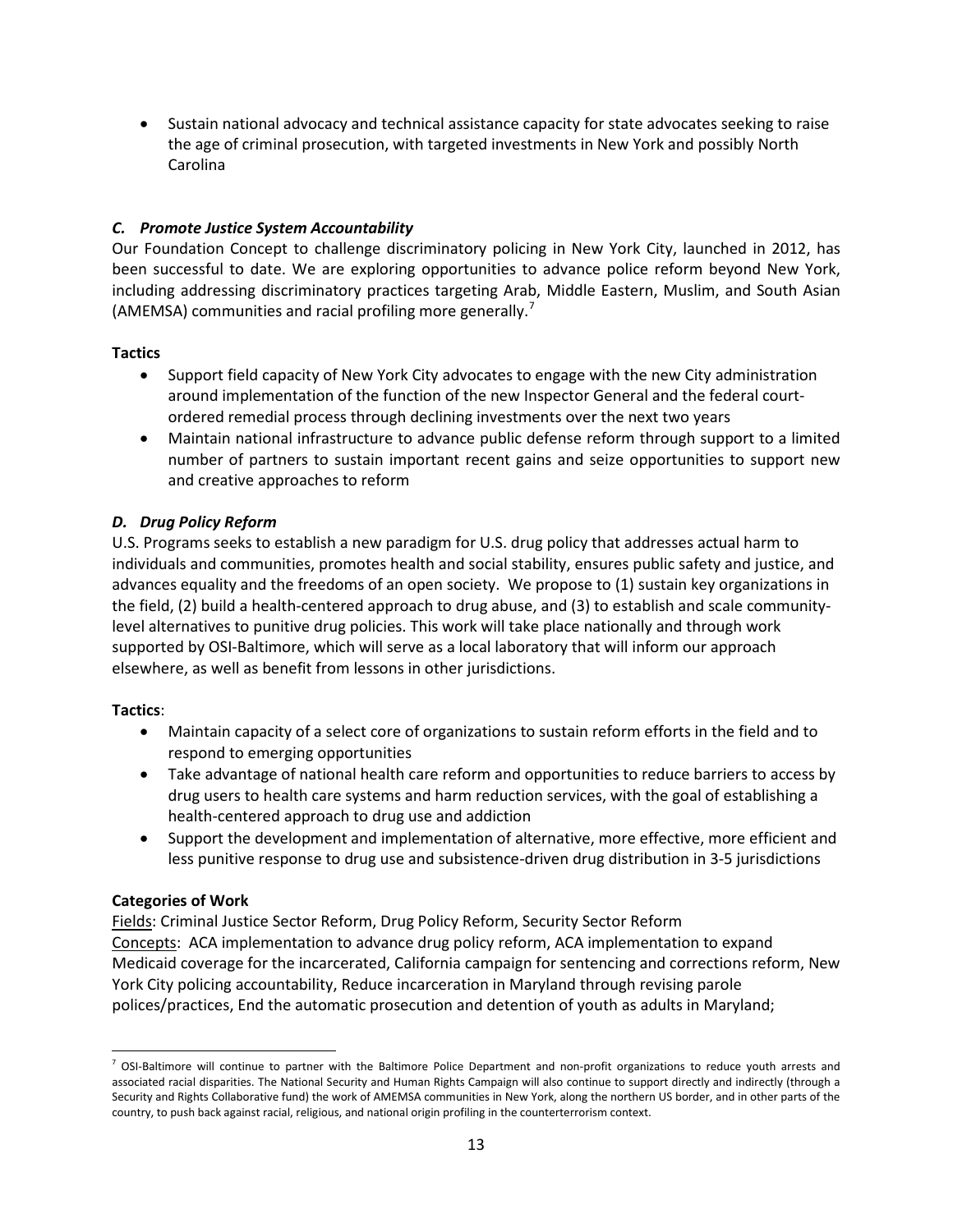• Sustain national advocacy and technical assistance capacity for state advocates seeking to raise the age of criminal prosecution, with targeted investments in New York and possibly North Carolina

## *C. Promote Justice System Accountability*

Our Foundation Concept to challenge discriminatory policing in New York City, launched in 2012, has been successful to date. We are exploring opportunities to advance police reform beyond New York, including addressing discriminatory practices targeting Arab, Middle Eastern, Muslim, and South Asian (AMEMSA) communities and racial profiling more generally.<sup>[7](#page-12-0)</sup>

## **Tactics**

- Support field capacity of New York City advocates to engage with the new City administration around implementation of the function of the new Inspector General and the federal courtordered remedial process through declining investments over the next two years
- Maintain national infrastructure to advance public defense reform through support to a limited number of partners to sustain important recent gains and seize opportunities to support new and creative approaches to reform

# *D. Drug Policy Reform*

U.S. Programs seeks to establish a new paradigm for U.S. drug policy that addresses actual harm to individuals and communities, promotes health and social stability, ensures public safety and justice, and advances equality and the freedoms of an open society. We propose to (1) sustain key organizations in the field, (2) build a health-centered approach to drug abuse, and (3) to establish and scale communitylevel alternatives to punitive drug policies. This work will take place nationally and through work supported by OSI-Baltimore, which will serve as a local laboratory that will inform our approach elsewhere, as well as benefit from lessons in other jurisdictions.

## **Tactics**:

 $\overline{\phantom{a}}$ 

- Maintain capacity of a select core of organizations to sustain reform efforts in the field and to respond to emerging opportunities
- Take advantage of national health care reform and opportunities to reduce barriers to access by drug users to health care systems and harm reduction services, with the goal of establishing a health-centered approach to drug use and addiction
- Support the development and implementation of alternative, more effective, more efficient and less punitive response to drug use and subsistence-driven drug distribution in 3-5 jurisdictions

## **Categories of Work**

Fields: Criminal Justice Sector Reform, Drug Policy Reform, Security Sector Reform Concepts: ACA implementation to advance drug policy reform, ACA implementation to expand Medicaid coverage for the incarcerated, California campaign for sentencing and corrections reform, New York City policing accountability, Reduce incarceration in Maryland through revising parole polices/practices, End the automatic prosecution and detention of youth as adults in Maryland;

<span id="page-12-0"></span> $<sup>7</sup>$  OSI-Baltimore will continue to partner with the Baltimore Police Department and non-profit organizations to reduce youth arrests and</sup> associated racial disparities. The National Security and Human Rights Campaign will also continue to support directly and indirectly (through a Security and Rights Collaborative fund) the work of AMEMSA communities in New York, along the northern US border, and in other parts of the country, to push back against racial, religious, and national origin profiling in the counterterrorism context.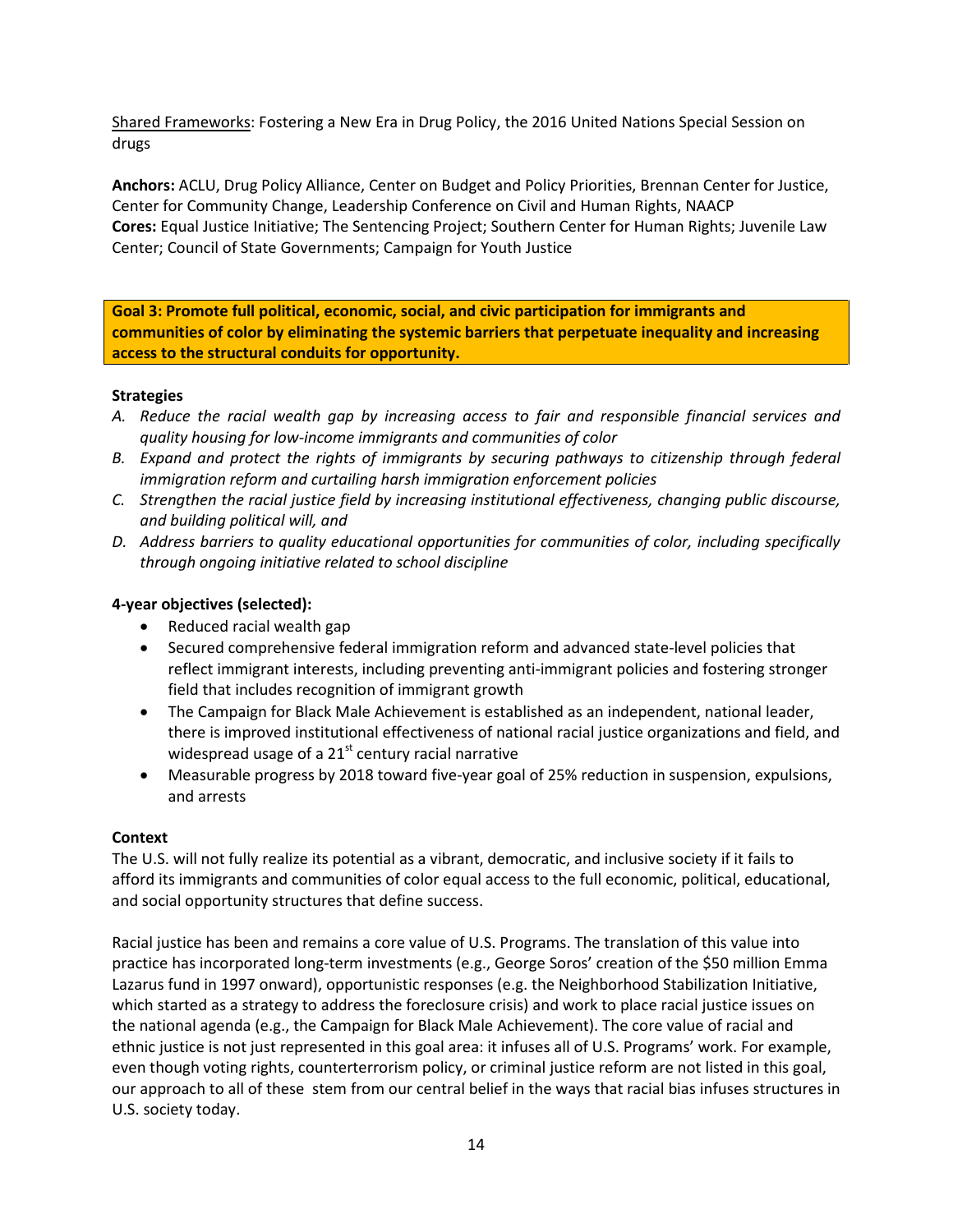Shared Frameworks: Fostering a New Era in Drug Policy, the 2016 United Nations Special Session on drugs

**Anchors:** ACLU, Drug Policy Alliance, Center on Budget and Policy Priorities, Brennan Center for Justice, Center for Community Change, Leadership Conference on Civil and Human Rights, NAACP **Cores:** Equal Justice Initiative; The Sentencing Project; Southern Center for Human Rights; Juvenile Law Center; Council of State Governments; Campaign for Youth Justice

**Goal 3: Promote full political, economic, social, and civic participation for immigrants and communities of color by eliminating the systemic barriers that perpetuate inequality and increasing access to the structural conduits for opportunity.**

#### **Strategies**

- *A. Reduce the racial wealth gap by increasing access to fair and responsible financial services and quality housing for low-income immigrants and communities of color*
- *B. Expand and protect the rights of immigrants by securing pathways to citizenship through federal immigration reform and curtailing harsh immigration enforcement policies*
- *C. Strengthen the racial justice field by increasing institutional effectiveness, changing public discourse, and building political will, and*
- *D. Address barriers to quality educational opportunities for communities of color, including specifically through ongoing initiative related to school discipline*

#### **4-year objectives (selected):**

- Reduced racial wealth gap
- Secured comprehensive federal immigration reform and advanced state-level policies that reflect immigrant interests, including preventing anti-immigrant policies and fostering stronger field that includes recognition of immigrant growth
- The Campaign for Black Male Achievement is established as an independent, national leader, there is improved institutional effectiveness of national racial justice organizations and field, and widespread usage of a  $21<sup>st</sup>$  century racial narrative
- Measurable progress by 2018 toward five-year goal of 25% reduction in suspension, expulsions, and arrests

#### **Context**

The U.S. will not fully realize its potential as a vibrant, democratic, and inclusive society if it fails to afford its immigrants and communities of color equal access to the full economic, political, educational, and social opportunity structures that define success.

Racial justice has been and remains a core value of U.S. Programs. The translation of this value into practice has incorporated long-term investments (e.g., George Soros' creation of the \$50 million Emma Lazarus fund in 1997 onward), opportunistic responses (e.g. the Neighborhood Stabilization Initiative, which started as a strategy to address the foreclosure crisis) and work to place racial justice issues on the national agenda (e.g., the Campaign for Black Male Achievement). The core value of racial and ethnic justice is not just represented in this goal area: it infuses all of U.S. Programs' work. For example, even though voting rights, counterterrorism policy, or criminal justice reform are not listed in this goal, our approach to all of these stem from our central belief in the ways that racial bias infuses structures in U.S. society today.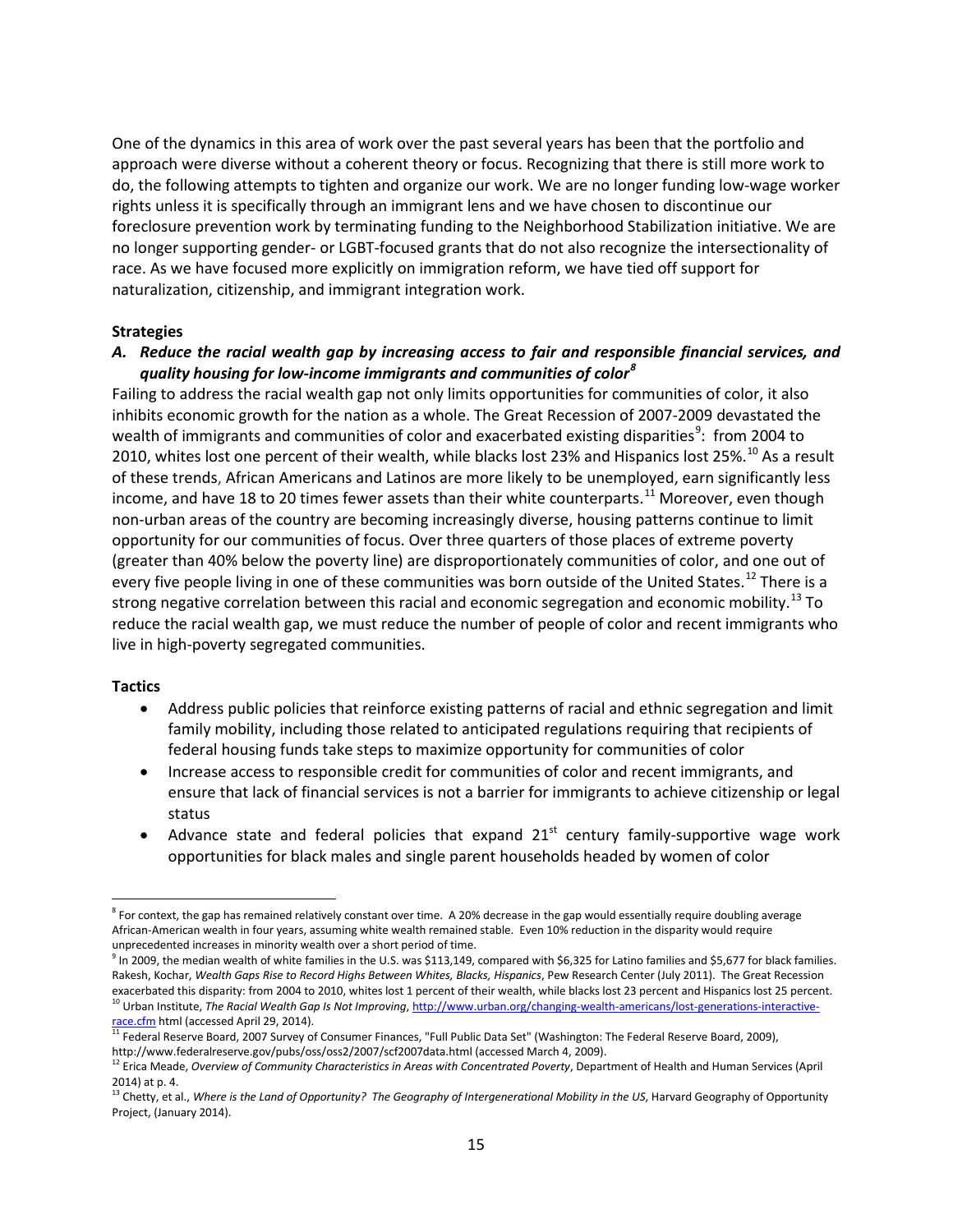One of the dynamics in this area of work over the past several years has been that the portfolio and approach were diverse without a coherent theory or focus. Recognizing that there is still more work to do, the following attempts to tighten and organize our work. We are no longer funding low-wage worker rights unless it is specifically through an immigrant lens and we have chosen to discontinue our foreclosure prevention work by terminating funding to the Neighborhood Stabilization initiative. We are no longer supporting gender- or LGBT-focused grants that do not also recognize the intersectionality of race. As we have focused more explicitly on immigration reform, we have tied off support for naturalization, citizenship, and immigrant integration work.

#### **Strategies**

#### *A. Reduce the racial wealth gap by increasing access to fair and responsible financial services, and quality housing for low-income immigrants and communities of color[8](#page-14-0)*

Failing to address the racial wealth gap not only limits opportunities for communities of color, it also inhibits economic growth for the nation as a whole. The Great Recession of 2007-2009 devastated the wealth of immigrants and communities of color and exacerbated existing disparities<sup>[9](#page-14-1)</sup>: from 2004 to 20[10](#page-14-2), whites lost one percent of their wealth, while blacks lost 23% and Hispanics lost 25%.<sup>10</sup> As a result of these trends, African Americans and Latinos are more likely to be unemployed, earn significantly less income, and have 18 to 20 times fewer assets than their white counterparts.<sup>[11](#page-14-3)</sup> Moreover, even though non-urban areas of the country are becoming increasingly diverse, housing patterns continue to limit opportunity for our communities of focus. Over three quarters of those places of extreme poverty (greater than 40% below the poverty line) are disproportionately communities of color, and one out of every five people living in one of these communities was born outside of the United States.<sup>[12](#page-14-4)</sup> There is a strong negative correlation between this racial and economic segregation and economic mobility.<sup>[13](#page-14-5)</sup> To reduce the racial wealth gap, we must reduce the number of people of color and recent immigrants who live in high-poverty segregated communities.

#### **Tactics**

l

- Address public policies that reinforce existing patterns of racial and ethnic segregation and limit family mobility, including those related to anticipated regulations requiring that recipients of federal housing funds take steps to maximize opportunity for communities of color
- Increase access to responsible credit for communities of color and recent immigrants, and ensure that lack of financial services is not a barrier for immigrants to achieve citizenship or legal status
- Advance state and federal policies that expand  $21<sup>st</sup>$  century family-supportive wage work opportunities for black males and single parent households headed by women of color

<span id="page-14-0"></span><sup>&</sup>lt;sup>8</sup> For context, the gap has remained relatively constant over time. A 20% decrease in the gap would essentially require doubling average African-American wealth in four years, assuming white wealth remained stable. Even 10% reduction in the disparity would require unprecedented increases in minority wealth over a short period of time.

<span id="page-14-1"></span> $^9$  In 2009, the median wealth of white families in the U.S. was \$113,149, compared with \$6,325 for Latino families and \$5,677 for black families. Rakesh, Kochar, *Wealth Gaps Rise to Record Highs Between Whites, Blacks, Hispanics*, Pew Research Center (July 2011). The Great Recession exacerbated this disparity: from 2004 to 2010, whites lost 1 percent of their wealt <sup>10</sup> Urban Institute, The Racial Wealth Gap Is Not Improving[, http://www.urban.org/changing-wealth-americans/lost-generations-interactive](http://www.urban.org/changing-wealth-americans/lost-generations-interactive-race.cfm)[race.cfm](http://www.urban.org/changing-wealth-americans/lost-generations-interactive-race.cfm) html (accessed April 29, 2014).

<span id="page-14-3"></span><span id="page-14-2"></span><sup>&</sup>lt;sup>11</sup> Federal Reserve Board, 2007 Survey of Consumer Finances, "Full Public Data Set" (Washington: The Federal Reserve Board, 2009), http://www.federalreserve.gov/pubs/oss/oss2/2007/scf2007data.html (accessed March 4, 2009).

<span id="page-14-4"></span><sup>&</sup>lt;sup>12</sup> Erica Meade, *Overview of Community Characteristics in Areas with Concentrated Poverty*, Department of Health and Human Services (April 2014) at p. 4.

<span id="page-14-5"></span><sup>&</sup>lt;sup>13</sup> Chetty, et al., *Where is the Land of Opportunity? The Geography of Intergenerational Mobility in the US*, Harvard Geography of Opportunity Project, (January 2014).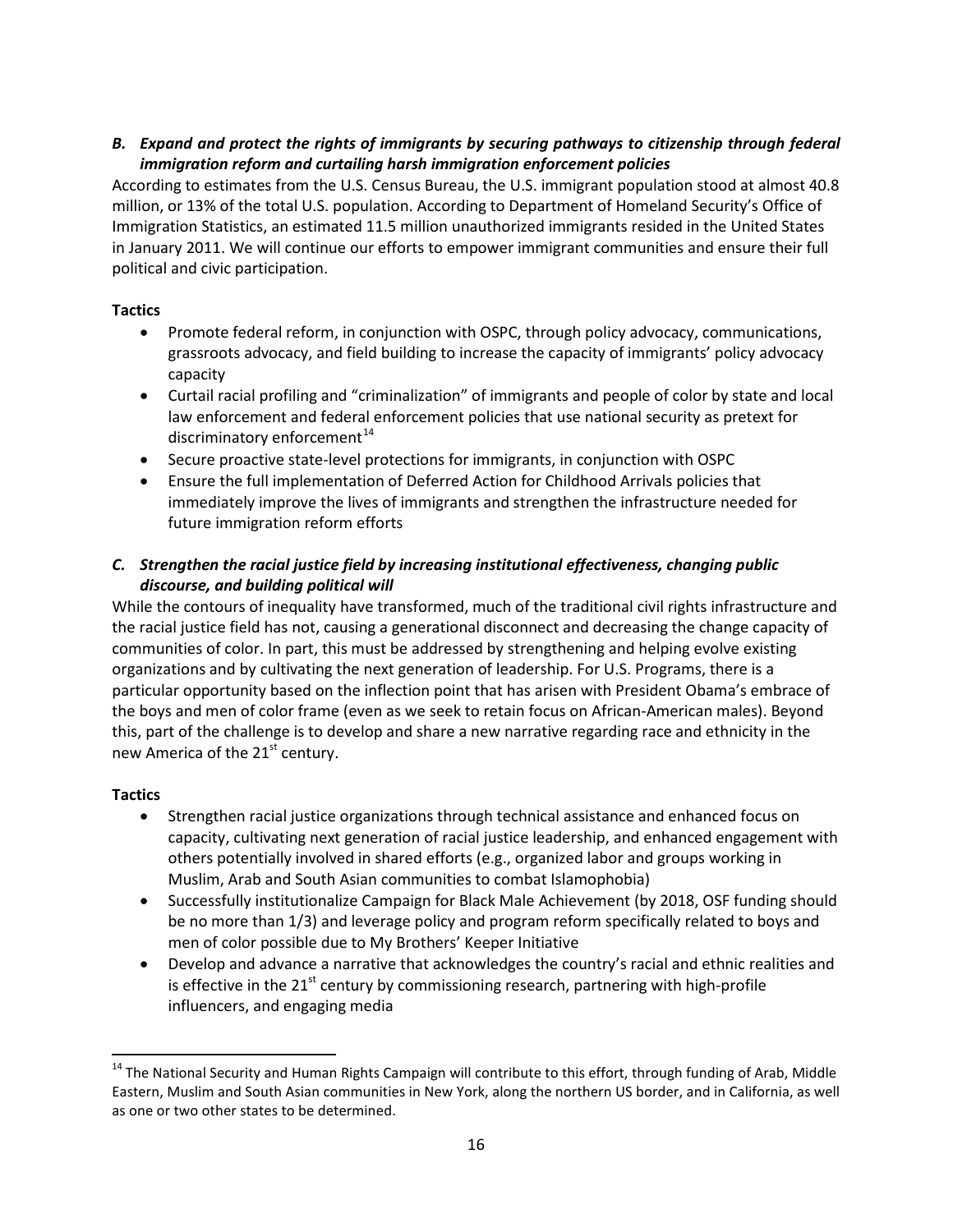## *B. Expand and protect the rights of immigrants by securing pathways to citizenship through federal immigration reform and curtailing harsh immigration enforcement policies*

According to estimates from the U.S. Census Bureau, the U.S. immigrant population stood at almost 40.8 million, or 13% of the total U.S. population. According to Department of Homeland Security's Office of Immigration Statistics, an estimated 11.5 million unauthorized immigrants resided in the United States in January 2011. We will continue our efforts to empower immigrant communities and ensure their full political and civic participation.

# **Tactics**

- Promote federal reform, in conjunction with OSPC, through policy advocacy, communications, grassroots advocacy, and field building to increase the capacity of immigrants' policy advocacy capacity
- Curtail racial profiling and "criminalization" of immigrants and people of color by state and local law enforcement and federal enforcement policies that use national security as pretext for discriminatory enforcement $14$
- Secure proactive state-level protections for immigrants, in conjunction with OSPC
- Ensure the full implementation of Deferred Action for Childhood Arrivals policies that immediately improve the lives of immigrants and strengthen the infrastructure needed for future immigration reform efforts

# *C. Strengthen the racial justice field by increasing institutional effectiveness, changing public discourse, and building political will*

While the contours of inequality have transformed, much of the traditional civil rights infrastructure and the racial justice field has not, causing a generational disconnect and decreasing the change capacity of communities of color. In part, this must be addressed by strengthening and helping evolve existing organizations and by cultivating the next generation of leadership. For U.S. Programs, there is a particular opportunity based on the inflection point that has arisen with President Obama's embrace of the boys and men of color frame (even as we seek to retain focus on African-American males). Beyond this, part of the challenge is to develop and share a new narrative regarding race and ethnicity in the new America of the  $21<sup>st</sup>$  century.

## **Tactics**

- Strengthen racial justice organizations through technical assistance and enhanced focus on capacity, cultivating next generation of racial justice leadership, and enhanced engagement with others potentially involved in shared efforts (e.g., organized labor and groups working in Muslim, Arab and South Asian communities to combat Islamophobia)
- Successfully institutionalize Campaign for Black Male Achievement (by 2018, OSF funding should be no more than 1/3) and leverage policy and program reform specifically related to boys and men of color possible due to My Brothers' Keeper Initiative
- Develop and advance a narrative that acknowledges the country's racial and ethnic realities and is effective in the  $21^{st}$  century by commissioning research, partnering with high-profile influencers, and engaging media

<span id="page-15-0"></span><sup>&</sup>lt;sup>14</sup> The National Security and Human Rights Campaign will contribute to this effort, through funding of Arab, Middle Eastern, Muslim and South Asian communities in New York, along the northern US border, and in California, as well as one or two other states to be determined. l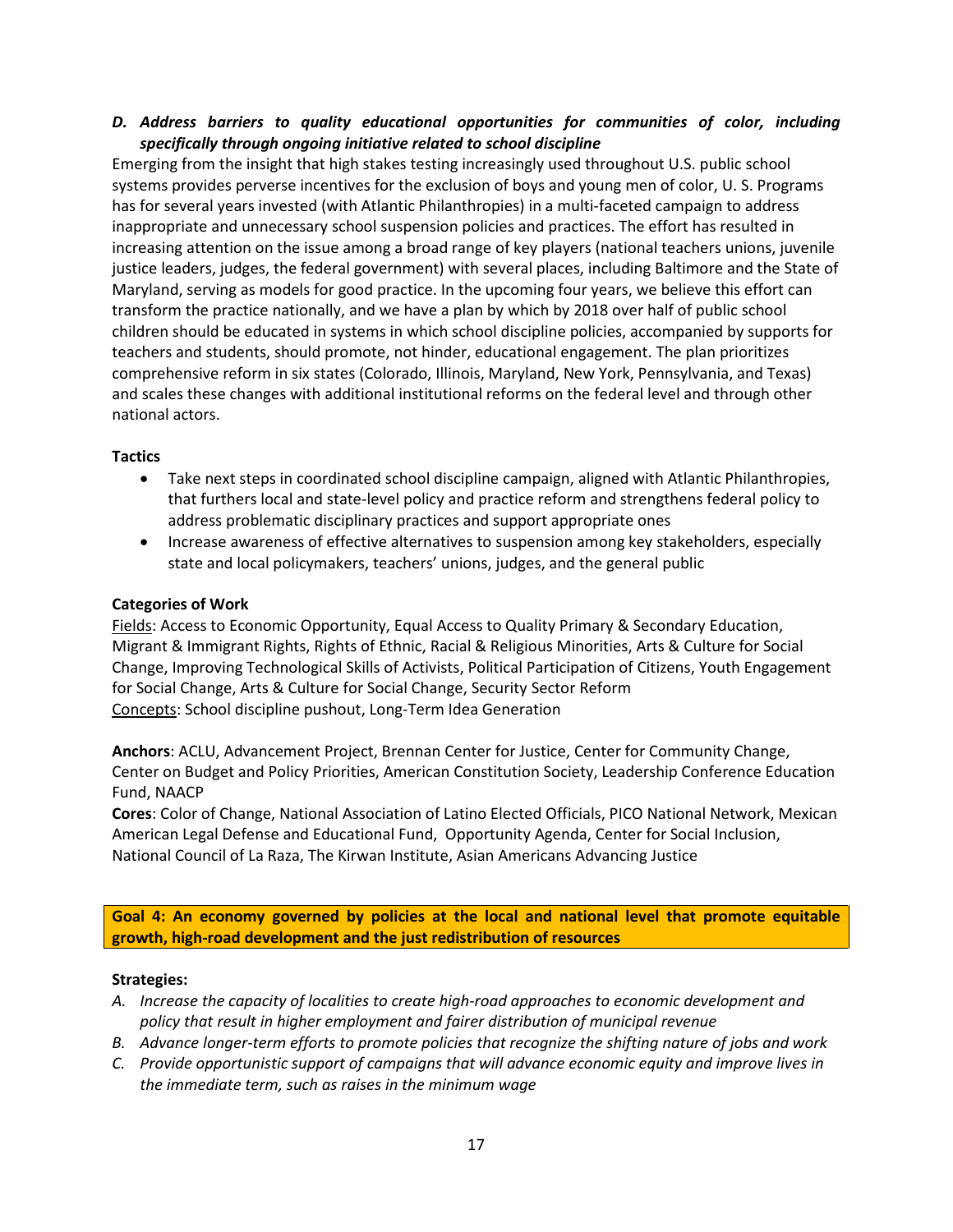#### *D. Address barriers to quality educational opportunities for communities of color, including specifically through ongoing initiative related to school discipline*

Emerging from the insight that high stakes testing increasingly used throughout U.S. public school systems provides perverse incentives for the exclusion of boys and young men of color, U. S. Programs has for several years invested (with Atlantic Philanthropies) in a multi-faceted campaign to address inappropriate and unnecessary school suspension policies and practices. The effort has resulted in increasing attention on the issue among a broad range of key players (national teachers unions, juvenile justice leaders, judges, the federal government) with several places, including Baltimore and the State of Maryland, serving as models for good practice. In the upcoming four years, we believe this effort can transform the practice nationally, and we have a plan by which by 2018 over half of public school children should be educated in systems in which school discipline policies, accompanied by supports for teachers and students, should promote, not hinder, educational engagement. The plan prioritizes comprehensive reform in six states (Colorado, Illinois, Maryland, New York, Pennsylvania, and Texas) and scales these changes with additional institutional reforms on the federal level and through other national actors.

#### **Tactics**

- Take next steps in coordinated school discipline campaign, aligned with Atlantic Philanthropies, that furthers local and state-level policy and practice reform and strengthens federal policy to address problematic disciplinary practices and support appropriate ones
- Increase awareness of effective alternatives to suspension among key stakeholders, especially state and local policymakers, teachers' unions, judges, and the general public

#### **Categories of Work**

Fields: Access to Economic Opportunity, Equal Access to Quality Primary & Secondary Education, Migrant & Immigrant Rights, Rights of Ethnic, Racial & Religious Minorities, Arts & Culture for Social Change, Improving Technological Skills of Activists, Political Participation of Citizens, Youth Engagement for Social Change, Arts & Culture for Social Change, Security Sector Reform Concepts: School discipline pushout, Long-Term Idea Generation

**Anchors**: ACLU, Advancement Project, Brennan Center for Justice, Center for Community Change, Center on Budget and Policy Priorities, American Constitution Society, Leadership Conference Education Fund, NAACP

**Cores**: Color of Change, National Association of Latino Elected Officials, PICO National Network, Mexican American Legal Defense and Educational Fund, Opportunity Agenda, Center for Social Inclusion, National Council of La Raza, The Kirwan Institute, Asian Americans Advancing Justice

**Goal 4: An economy governed by policies at the local and national level that promote equitable growth, high-road development and the just redistribution of resources**

#### **Strategies:**

- *A. Increase the capacity of localities to create high-road approaches to economic development and policy that result in higher employment and fairer distribution of municipal revenue*
- *B. Advance longer-term efforts to promote policies that recognize the shifting nature of jobs and work*
- *C. Provide opportunistic support of campaigns that will advance economic equity and improve lives in the immediate term, such as raises in the minimum wage*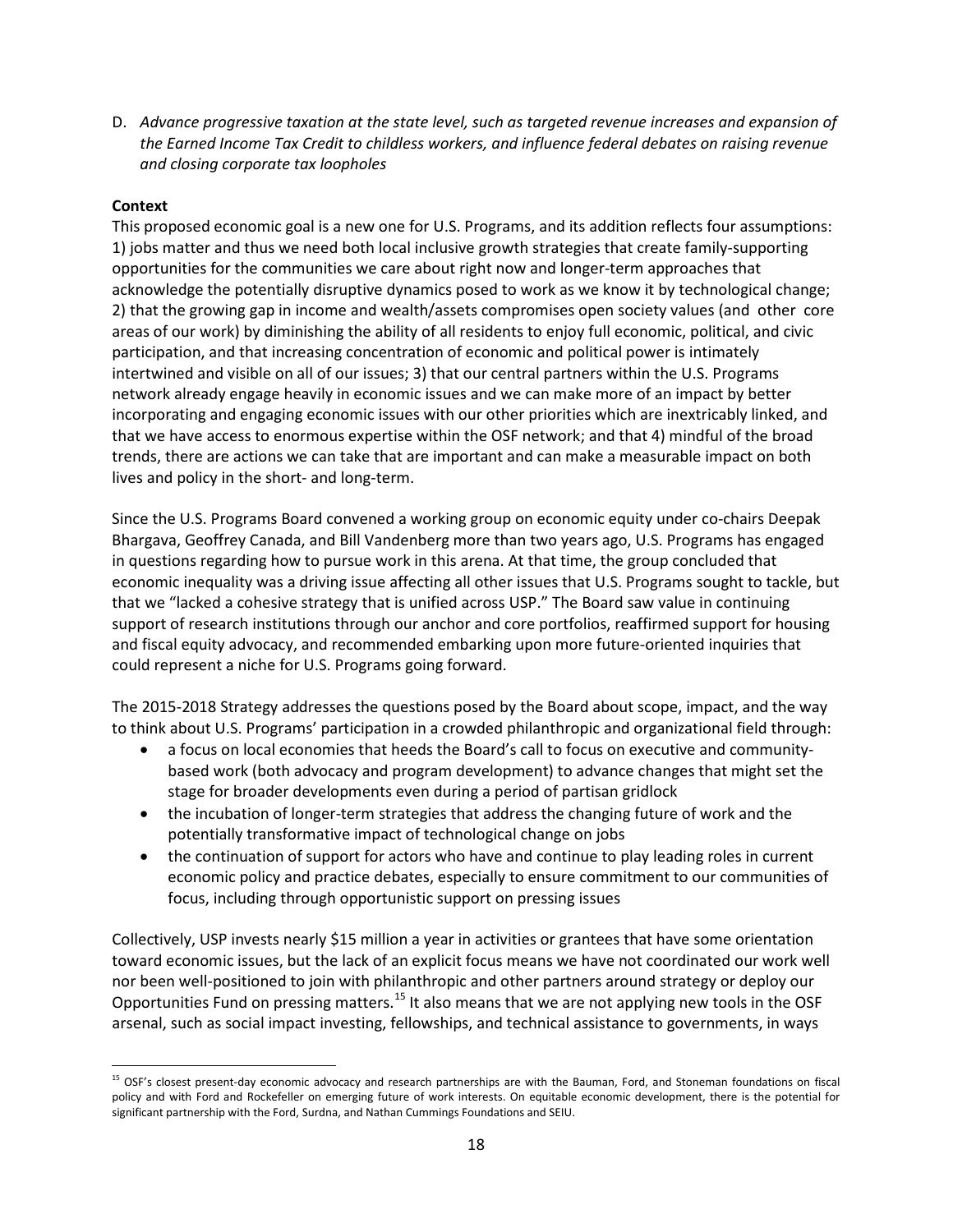D. *Advance progressive taxation at the state level, such as targeted revenue increases and expansion of the Earned Income Tax Credit to childless workers, and influence federal debates on raising revenue and closing corporate tax loopholes*

#### **Context**

 $\overline{\phantom{a}}$ 

This proposed economic goal is a new one for U.S. Programs, and its addition reflects four assumptions: 1) jobs matter and thus we need both local inclusive growth strategies that create family-supporting opportunities for the communities we care about right now and longer-term approaches that acknowledge the potentially disruptive dynamics posed to work as we know it by technological change; 2) that the growing gap in income and wealth/assets compromises open society values (and other core areas of our work) by diminishing the ability of all residents to enjoy full economic, political, and civic participation, and that increasing concentration of economic and political power is intimately intertwined and visible on all of our issues; 3) that our central partners within the U.S. Programs network already engage heavily in economic issues and we can make more of an impact by better incorporating and engaging economic issues with our other priorities which are inextricably linked, and that we have access to enormous expertise within the OSF network; and that 4) mindful of the broad trends, there are actions we can take that are important and can make a measurable impact on both lives and policy in the short- and long-term.

Since the U.S. Programs Board convened a working group on economic equity under co-chairs Deepak Bhargava, Geoffrey Canada, and Bill Vandenberg more than two years ago, U.S. Programs has engaged in questions regarding how to pursue work in this arena. At that time, the group concluded that economic inequality was a driving issue affecting all other issues that U.S. Programs sought to tackle, but that we "lacked a cohesive strategy that is unified across USP." The Board saw value in continuing support of research institutions through our anchor and core portfolios, reaffirmed support for housing and fiscal equity advocacy, and recommended embarking upon more future-oriented inquiries that could represent a niche for U.S. Programs going forward.

The 2015-2018 Strategy addresses the questions posed by the Board about scope, impact, and the way to think about U.S. Programs' participation in a crowded philanthropic and organizational field through:

- a focus on local economies that heeds the Board's call to focus on executive and communitybased work (both advocacy and program development) to advance changes that might set the stage for broader developments even during a period of partisan gridlock
- the incubation of longer-term strategies that address the changing future of work and the potentially transformative impact of technological change on jobs
- the continuation of support for actors who have and continue to play leading roles in current economic policy and practice debates, especially to ensure commitment to our communities of focus, including through opportunistic support on pressing issues

Collectively, USP invests nearly \$15 million a year in activities or grantees that have some orientation toward economic issues, but the lack of an explicit focus means we have not coordinated our work well nor been well-positioned to join with philanthropic and other partners around strategy or deploy our Opportunities Fund on pressing matters.<sup>[15](#page-17-0)</sup> It also means that we are not applying new tools in the OSF arsenal, such as social impact investing, fellowships, and technical assistance to governments, in ways

<span id="page-17-0"></span><sup>&</sup>lt;sup>15</sup> OSF's closest present-day economic advocacy and research partnerships are with the Bauman, Ford, and Stoneman foundations on fiscal policy and with Ford and Rockefeller on emerging future of work interests. On equitable economic development, there is the potential for significant partnership with the Ford, Surdna, and Nathan Cummings Foundations and SEIU.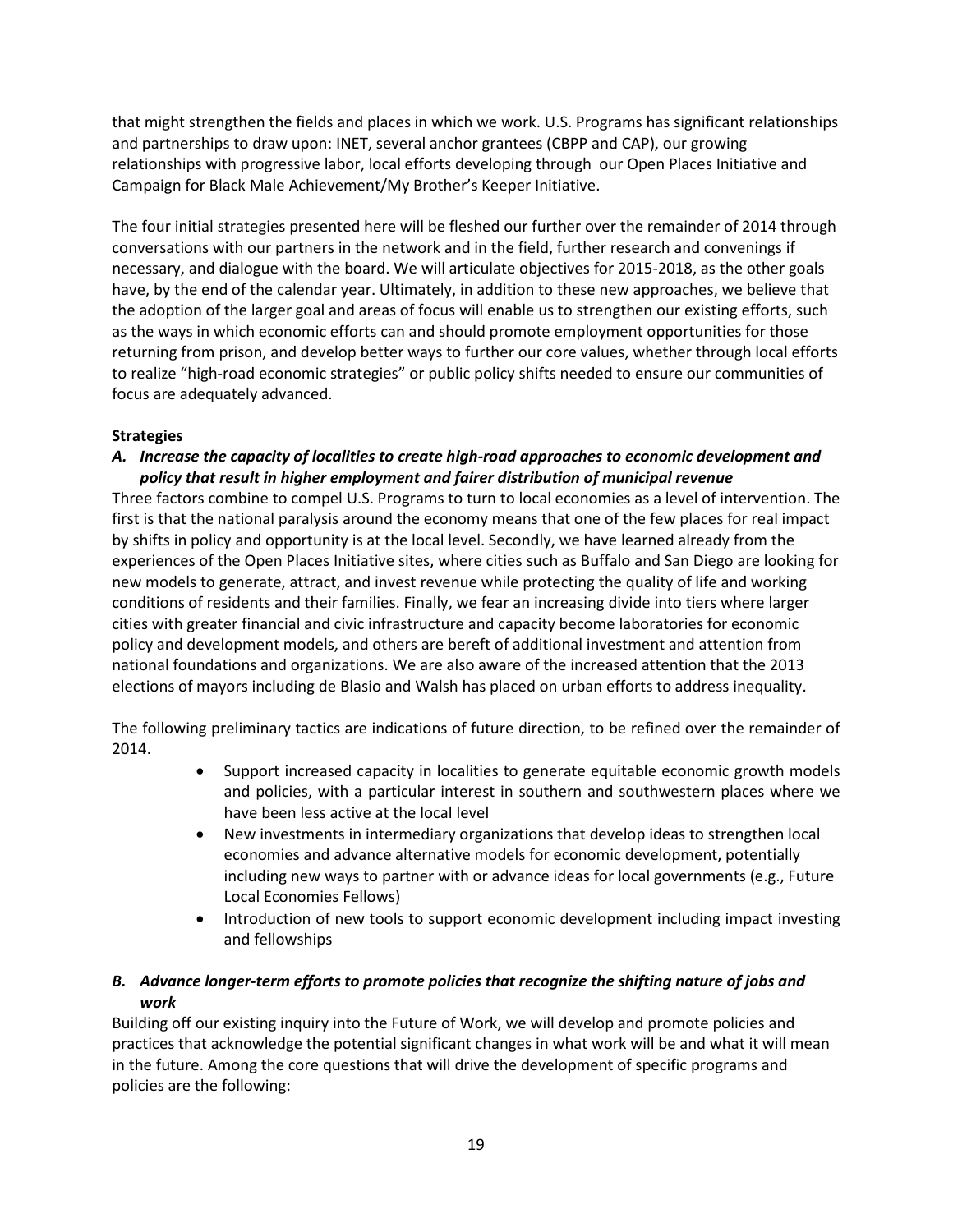that might strengthen the fields and places in which we work. U.S. Programs has significant relationships and partnerships to draw upon: INET, several anchor grantees (CBPP and CAP), our growing relationships with progressive labor, local efforts developing through our Open Places Initiative and Campaign for Black Male Achievement/My Brother's Keeper Initiative.

The four initial strategies presented here will be fleshed our further over the remainder of 2014 through conversations with our partners in the network and in the field, further research and convenings if necessary, and dialogue with the board. We will articulate objectives for 2015-2018, as the other goals have, by the end of the calendar year. Ultimately, in addition to these new approaches, we believe that the adoption of the larger goal and areas of focus will enable us to strengthen our existing efforts, such as the ways in which economic efforts can and should promote employment opportunities for those returning from prison, and develop better ways to further our core values, whether through local efforts to realize "high-road economic strategies" or public policy shifts needed to ensure our communities of focus are adequately advanced.

## **Strategies**

#### *A. Increase the capacity of localities to create high-road approaches to economic development and policy that result in higher employment and fairer distribution of municipal revenue*

Three factors combine to compel U.S. Programs to turn to local economies as a level of intervention. The first is that the national paralysis around the economy means that one of the few places for real impact by shifts in policy and opportunity is at the local level. Secondly, we have learned already from the experiences of the Open Places Initiative sites, where cities such as Buffalo and San Diego are looking for new models to generate, attract, and invest revenue while protecting the quality of life and working conditions of residents and their families. Finally, we fear an increasing divide into tiers where larger cities with greater financial and civic infrastructure and capacity become laboratories for economic policy and development models, and others are bereft of additional investment and attention from national foundations and organizations. We are also aware of the increased attention that the 2013 elections of mayors including de Blasio and Walsh has placed on urban efforts to address inequality.

The following preliminary tactics are indications of future direction, to be refined over the remainder of 2014.

- Support increased capacity in localities to generate equitable economic growth models and policies, with a particular interest in southern and southwestern places where we have been less active at the local level
- New investments in intermediary organizations that develop ideas to strengthen local economies and advance alternative models for economic development, potentially including new ways to partner with or advance ideas for local governments (e.g., Future Local Economies Fellows)
- Introduction of new tools to support economic development including impact investing and fellowships

# *B. Advance longer-term efforts to promote policies that recognize the shifting nature of jobs and work*

Building off our existing inquiry into the Future of Work, we will develop and promote policies and practices that acknowledge the potential significant changes in what work will be and what it will mean in the future. Among the core questions that will drive the development of specific programs and policies are the following: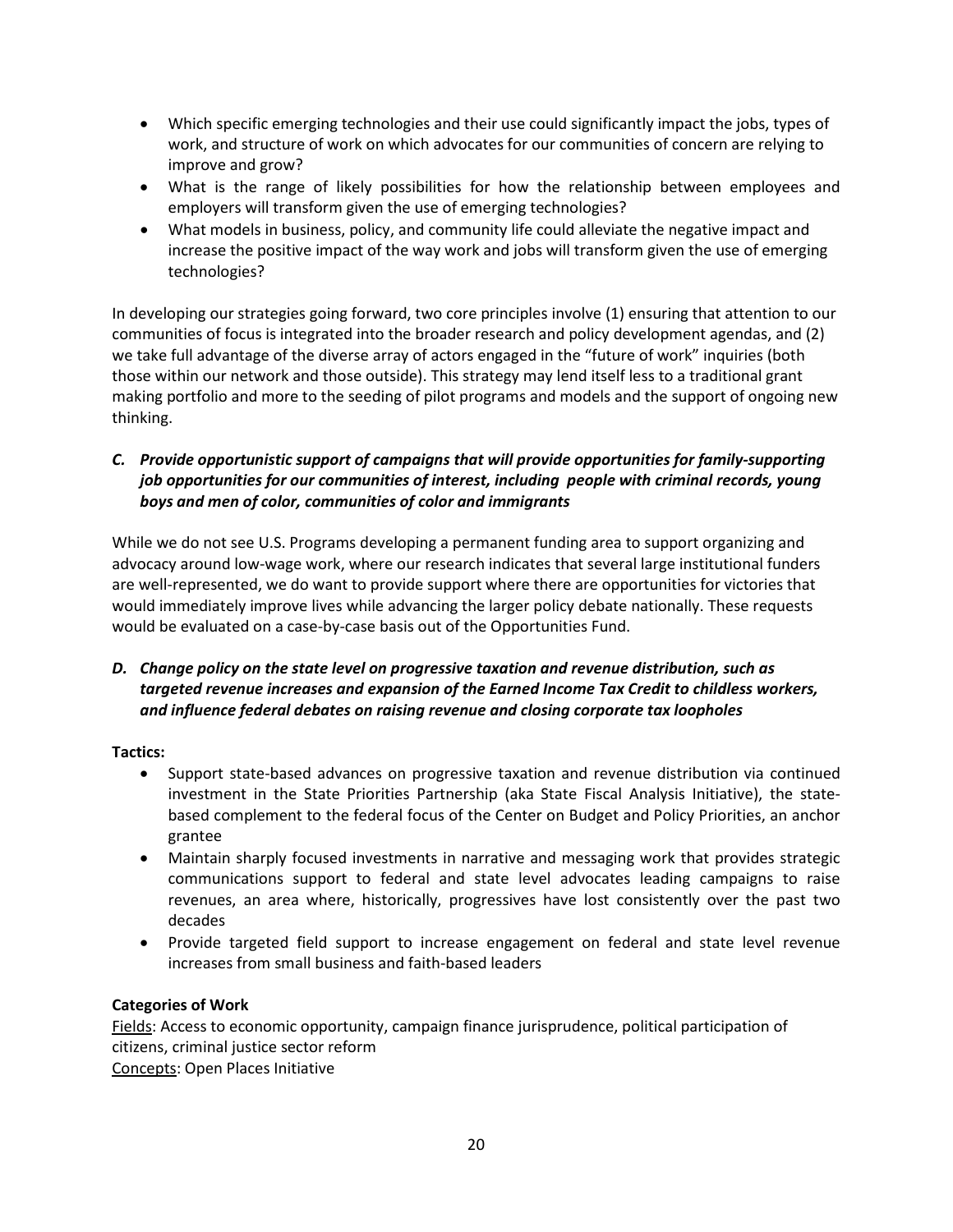- Which specific emerging technologies and their use could significantly impact the jobs, types of work, and structure of work on which advocates for our communities of concern are relying to improve and grow?
- What is the range of likely possibilities for how the relationship between employees and employers will transform given the use of emerging technologies?
- What models in business, policy, and community life could alleviate the negative impact and increase the positive impact of the way work and jobs will transform given the use of emerging technologies?

In developing our strategies going forward, two core principles involve (1) ensuring that attention to our communities of focus is integrated into the broader research and policy development agendas, and (2) we take full advantage of the diverse array of actors engaged in the "future of work" inquiries (both those within our network and those outside). This strategy may lend itself less to a traditional grant making portfolio and more to the seeding of pilot programs and models and the support of ongoing new thinking.

## *C. Provide opportunistic support of campaigns that will provide opportunities for family-supporting job opportunities for our communities of interest, including people with criminal records, young boys and men of color, communities of color and immigrants*

While we do not see U.S. Programs developing a permanent funding area to support organizing and advocacy around low-wage work, where our research indicates that several large institutional funders are well-represented, we do want to provide support where there are opportunities for victories that would immediately improve lives while advancing the larger policy debate nationally. These requests would be evaluated on a case-by-case basis out of the Opportunities Fund.

## *D. Change policy on the state level on progressive taxation and revenue distribution, such as targeted revenue increases and expansion of the Earned Income Tax Credit to childless workers, and influence federal debates on raising revenue and closing corporate tax loopholes*

**Tactics:**

- Support state-based advances on progressive taxation and revenue distribution via continued investment in the State Priorities Partnership (aka State Fiscal Analysis Initiative), the statebased complement to the federal focus of the Center on Budget and Policy Priorities, an anchor grantee
- Maintain sharply focused investments in narrative and messaging work that provides strategic communications support to federal and state level advocates leading campaigns to raise revenues, an area where, historically, progressives have lost consistently over the past two decades
- Provide targeted field support to increase engagement on federal and state level revenue increases from small business and faith-based leaders

## **Categories of Work**

Fields: Access to economic opportunity, campaign finance jurisprudence, political participation of citizens, criminal justice sector reform Concepts: Open Places Initiative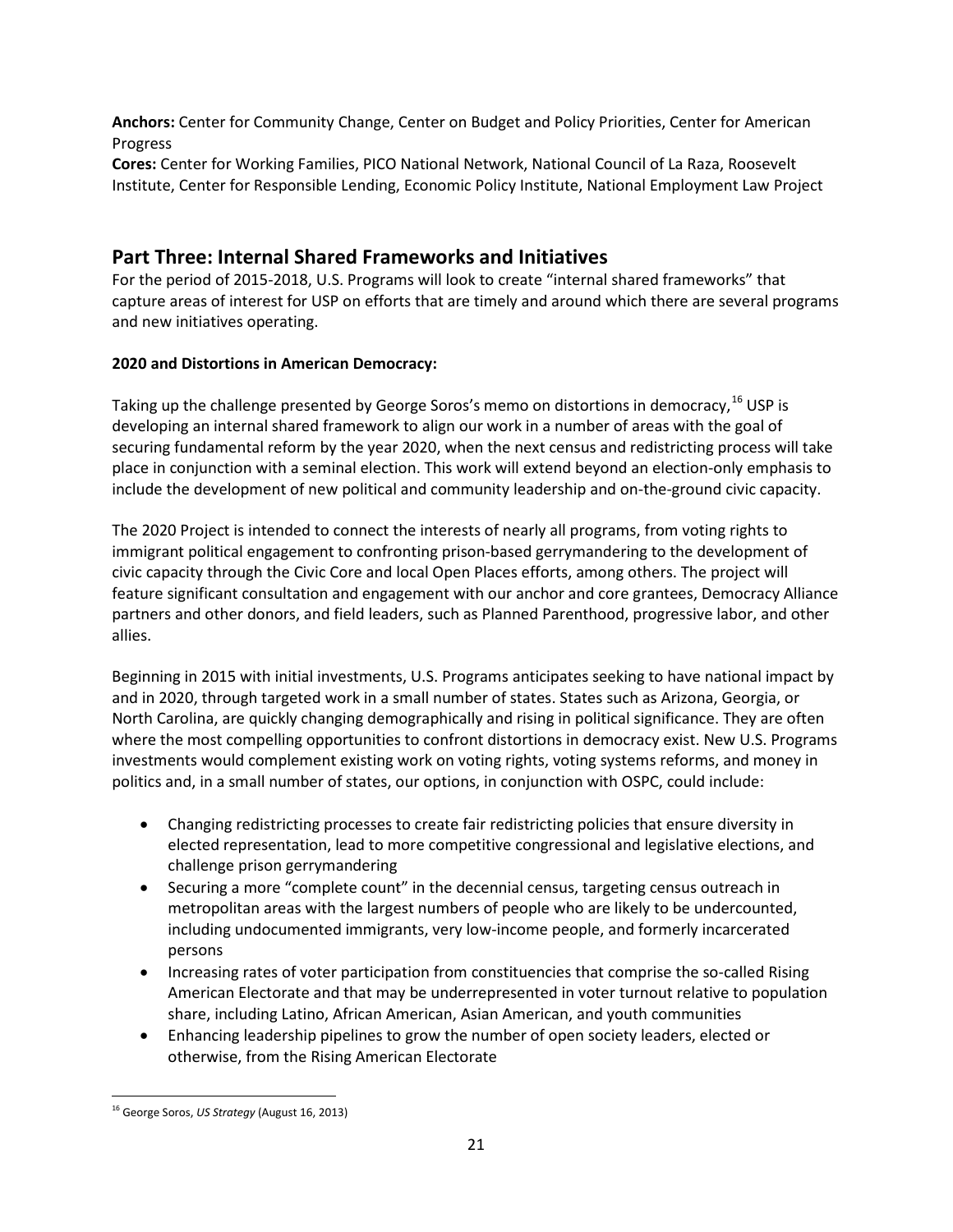**Anchors:** Center for Community Change, Center on Budget and Policy Priorities, Center for American Progress

**Cores:** Center for Working Families, PICO National Network, National Council of La Raza, Roosevelt Institute, Center for Responsible Lending, Economic Policy Institute, National Employment Law Project

# **Part Three: Internal Shared Frameworks and Initiatives**

For the period of 2015-2018, U.S. Programs will look to create "internal shared frameworks" that capture areas of interest for USP on efforts that are timely and around which there are several programs and new initiatives operating.

# **2020 and Distortions in American Democracy:**

Taking up the challenge presented by George Soros's memo on distortions in democracy, <sup>[16](#page-20-0)</sup> USP is developing an internal shared framework to align our work in a number of areas with the goal of securing fundamental reform by the year 2020, when the next census and redistricting process will take place in conjunction with a seminal election. This work will extend beyond an election-only emphasis to include the development of new political and community leadership and on-the-ground civic capacity.

The 2020 Project is intended to connect the interests of nearly all programs, from voting rights to immigrant political engagement to confronting prison-based gerrymandering to the development of civic capacity through the Civic Core and local Open Places efforts, among others. The project will feature significant consultation and engagement with our anchor and core grantees, Democracy Alliance partners and other donors, and field leaders, such as Planned Parenthood, progressive labor, and other allies.

Beginning in 2015 with initial investments, U.S. Programs anticipates seeking to have national impact by and in 2020, through targeted work in a small number of states. States such as Arizona, Georgia, or North Carolina, are quickly changing demographically and rising in political significance. They are often where the most compelling opportunities to confront distortions in democracy exist. New U.S. Programs investments would complement existing work on voting rights, voting systems reforms, and money in politics and, in a small number of states, our options, in conjunction with OSPC, could include:

- Changing redistricting processes to create fair redistricting policies that ensure diversity in elected representation, lead to more competitive congressional and legislative elections, and challenge prison gerrymandering
- Securing a more "complete count" in the decennial census, targeting census outreach in metropolitan areas with the largest numbers of people who are likely to be undercounted, including undocumented immigrants, very low-income people, and formerly incarcerated persons
- Increasing rates of voter participation from constituencies that comprise the so-called Rising American Electorate and that may be underrepresented in voter turnout relative to population share, including Latino, African American, Asian American, and youth communities
- Enhancing leadership pipelines to grow the number of open society leaders, elected or otherwise, from the Rising American Electorate

<span id="page-20-0"></span><sup>16</sup> George Soros, *US Strategy* (August 16, 2013)  $\overline{\phantom{a}}$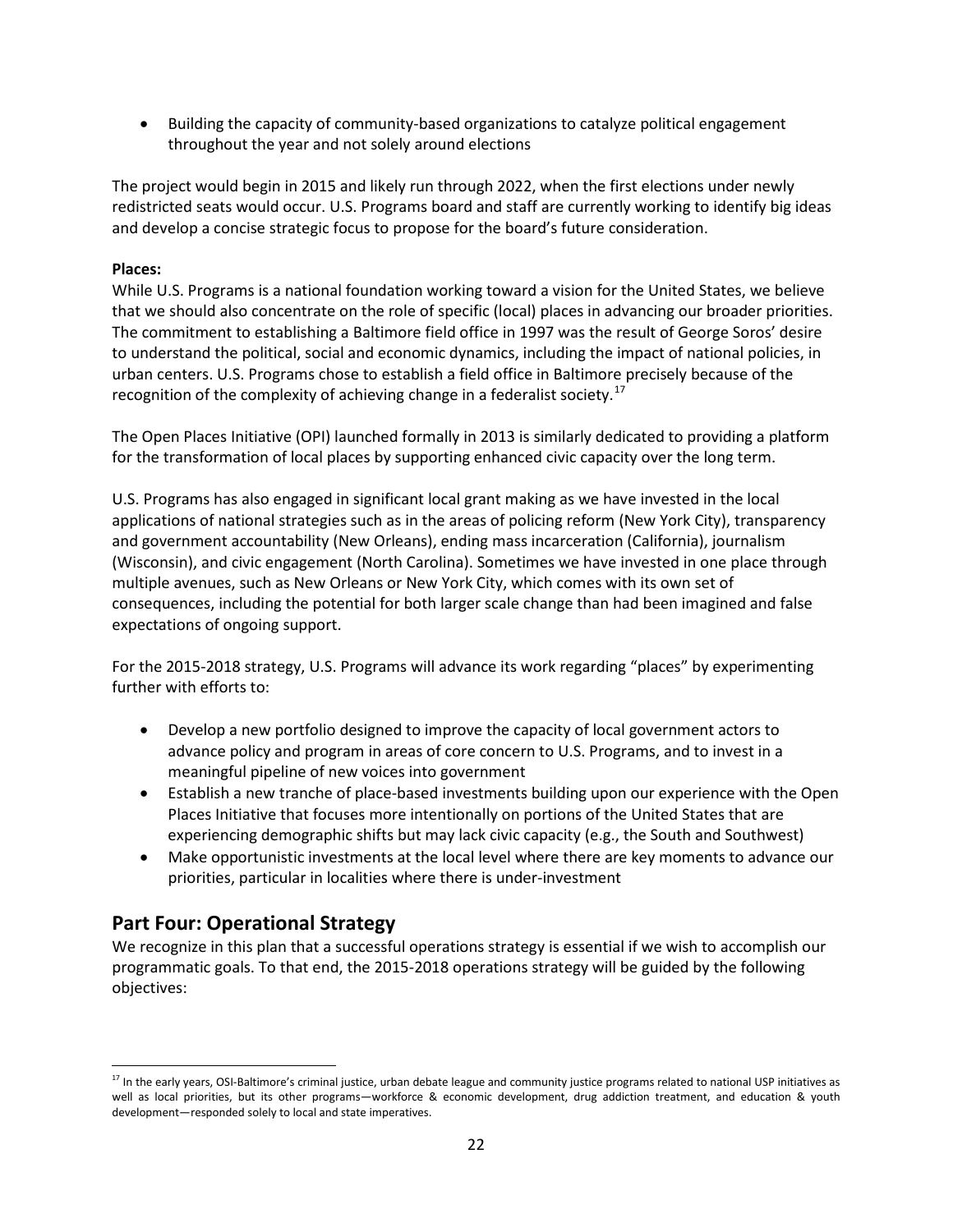• Building the capacity of community-based organizations to catalyze political engagement throughout the year and not solely around elections

The project would begin in 2015 and likely run through 2022, when the first elections under newly redistricted seats would occur. U.S. Programs board and staff are currently working to identify big ideas and develop a concise strategic focus to propose for the board's future consideration.

#### **Places:**

While U.S. Programs is a national foundation working toward a vision for the United States, we believe that we should also concentrate on the role of specific (local) places in advancing our broader priorities. The commitment to establishing a Baltimore field office in 1997 was the result of George Soros' desire to understand the political, social and economic dynamics, including the impact of national policies, in urban centers. U.S. Programs chose to establish a field office in Baltimore precisely because of the recognition of the complexity of achieving change in a federalist society.<sup>17</sup>

The Open Places Initiative (OPI) launched formally in 2013 is similarly dedicated to providing a platform for the transformation of local places by supporting enhanced civic capacity over the long term.

U.S. Programs has also engaged in significant local grant making as we have invested in the local applications of national strategies such as in the areas of policing reform (New York City), transparency and government accountability (New Orleans), ending mass incarceration (California), journalism (Wisconsin), and civic engagement (North Carolina). Sometimes we have invested in one place through multiple avenues, such as New Orleans or New York City, which comes with its own set of consequences, including the potential for both larger scale change than had been imagined and false expectations of ongoing support.

For the 2015-2018 strategy, U.S. Programs will advance its work regarding "places" by experimenting further with efforts to:

- Develop a new portfolio designed to improve the capacity of local government actors to advance policy and program in areas of core concern to U.S. Programs, and to invest in a meaningful pipeline of new voices into government
- Establish a new tranche of place-based investments building upon our experience with the Open Places Initiative that focuses more intentionally on portions of the United States that are experiencing demographic shifts but may lack civic capacity (e.g., the South and Southwest)
- Make opportunistic investments at the local level where there are key moments to advance our priorities, particular in localities where there is under-investment

# **Part Four: Operational Strategy**

 $\overline{\phantom{a}}$ 

We recognize in this plan that a successful operations strategy is essential if we wish to accomplish our programmatic goals. To that end, the 2015-2018 operations strategy will be guided by the following objectives:

<span id="page-21-0"></span><sup>&</sup>lt;sup>17</sup> In the early years, OSI-Baltimore's criminal justice, urban debate league and community justice programs related to national USP initiatives as well as local priorities, but its other programs—workforce & economic development, drug addiction treatment, and education & youth development—responded solely to local and state imperatives.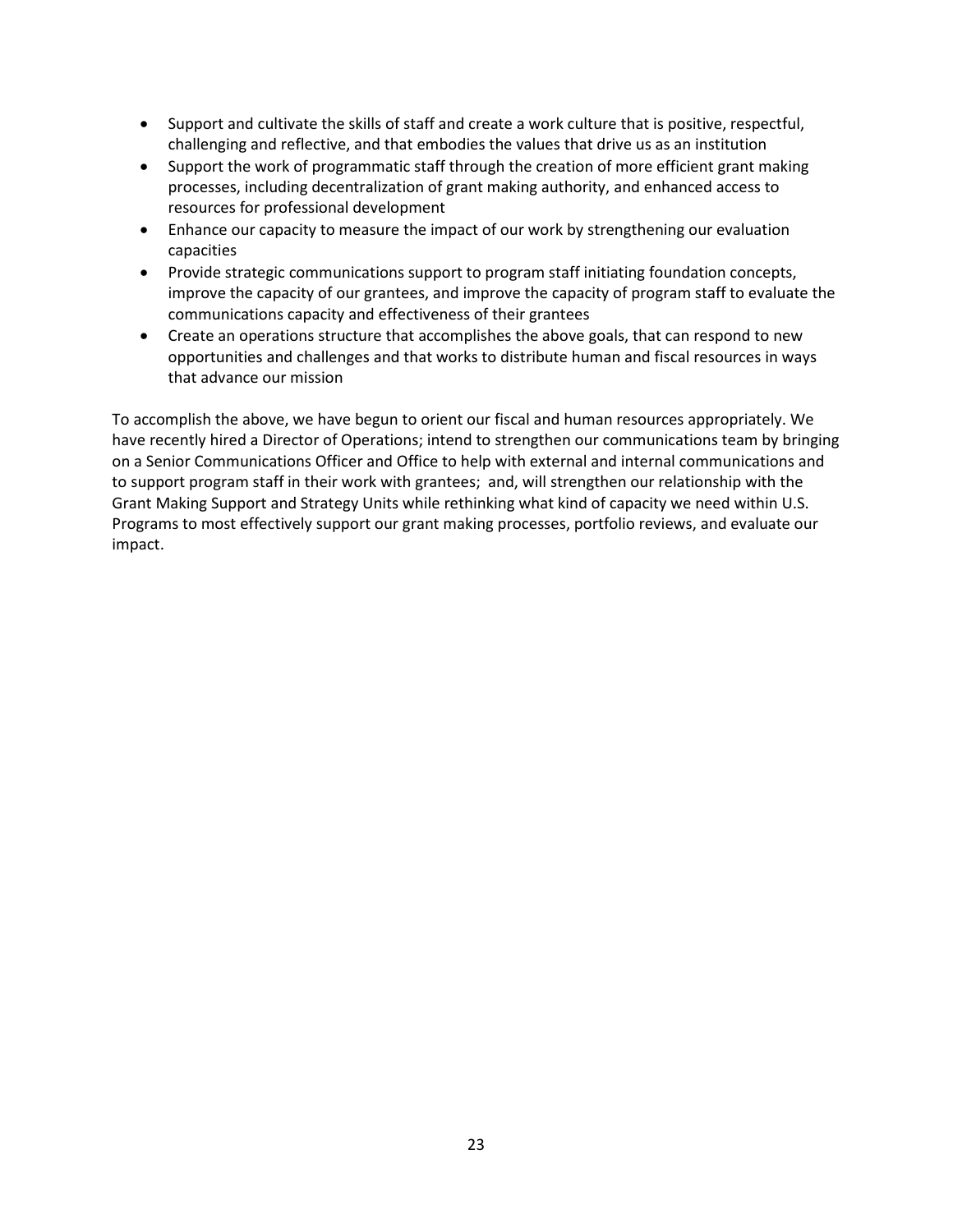- Support and cultivate the skills of staff and create a work culture that is positive, respectful, challenging and reflective, and that embodies the values that drive us as an institution
- Support the work of programmatic staff through the creation of more efficient grant making processes, including decentralization of grant making authority, and enhanced access to resources for professional development
- Enhance our capacity to measure the impact of our work by strengthening our evaluation capacities
- Provide strategic communications support to program staff initiating foundation concepts, improve the capacity of our grantees, and improve the capacity of program staff to evaluate the communications capacity and effectiveness of their grantees
- Create an operations structure that accomplishes the above goals, that can respond to new opportunities and challenges and that works to distribute human and fiscal resources in ways that advance our mission

To accomplish the above, we have begun to orient our fiscal and human resources appropriately. We have recently hired a Director of Operations; intend to strengthen our communications team by bringing on a Senior Communications Officer and Office to help with external and internal communications and to support program staff in their work with grantees; and, will strengthen our relationship with the Grant Making Support and Strategy Units while rethinking what kind of capacity we need within U.S. Programs to most effectively support our grant making processes, portfolio reviews, and evaluate our impact.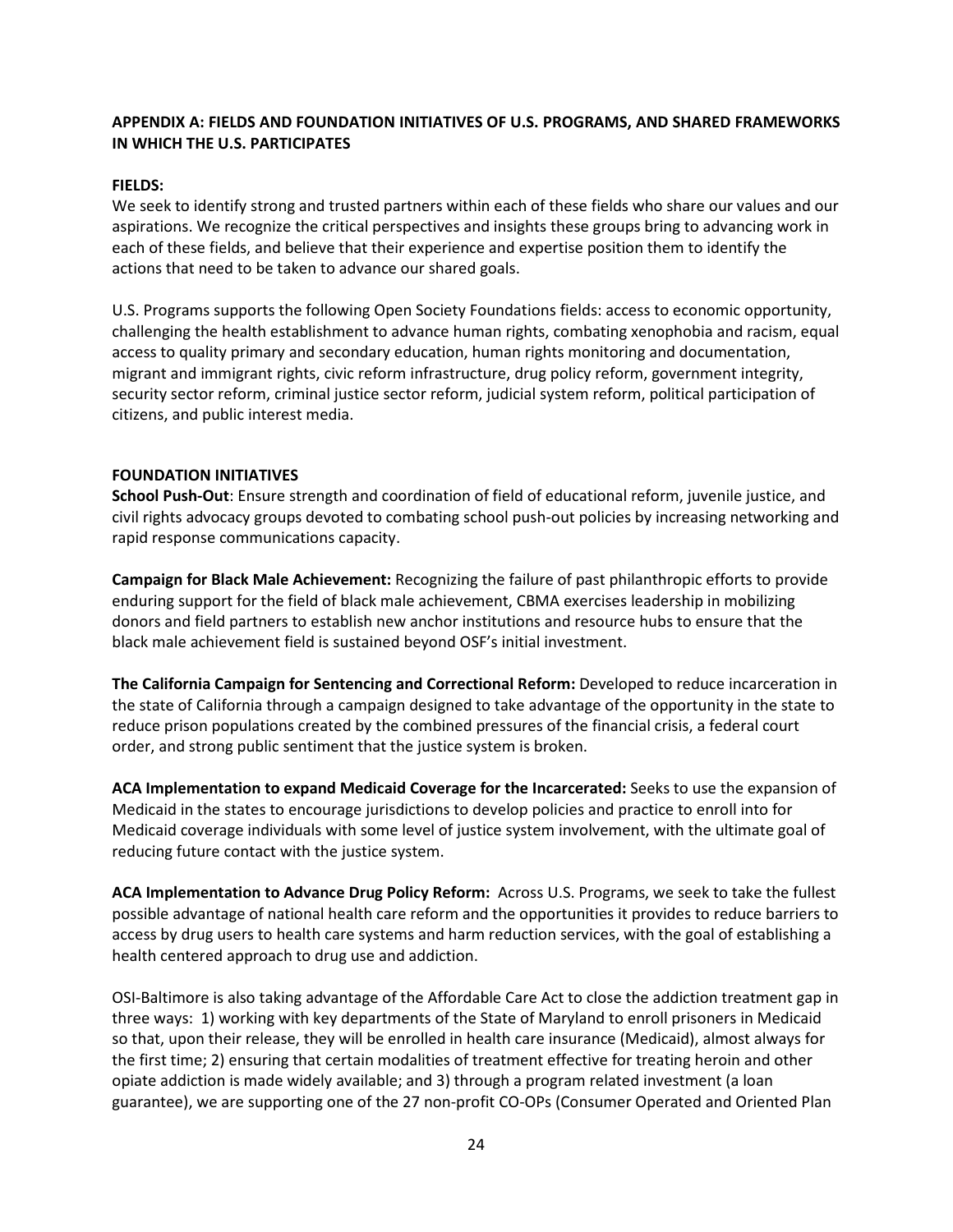#### **APPENDIX A: FIELDS AND FOUNDATION INITIATIVES OF U.S. PROGRAMS, AND SHARED FRAMEWORKS IN WHICH THE U.S. PARTICIPATES**

#### **FIELDS:**

We seek to identify strong and trusted partners within each of these fields who share our values and our aspirations. We recognize the critical perspectives and insights these groups bring to advancing work in each of these fields, and believe that their experience and expertise position them to identify the actions that need to be taken to advance our shared goals.

U.S. Programs supports the following Open Society Foundations fields: access to economic opportunity, challenging the health establishment to advance human rights, combating xenophobia and racism, equal access to quality primary and secondary education, human rights monitoring and documentation, migrant and immigrant rights, civic reform infrastructure, drug policy reform, government integrity, security sector reform, criminal justice sector reform, judicial system reform, political participation of citizens, and public interest media.

#### **FOUNDATION INITIATIVES**

**School Push-Out**: Ensure strength and coordination of field of educational reform, juvenile justice, and civil rights advocacy groups devoted to combating school push-out policies by increasing networking and rapid response communications capacity.

**Campaign for Black Male Achievement:** Recognizing the failure of past philanthropic efforts to provide enduring support for the field of black male achievement, CBMA exercises leadership in mobilizing donors and field partners to establish new anchor institutions and resource hubs to ensure that the black male achievement field is sustained beyond OSF's initial investment.

**The California Campaign for Sentencing and Correctional Reform:** Developed to reduce incarceration in the state of California through a campaign designed to take advantage of the opportunity in the state to reduce prison populations created by the combined pressures of the financial crisis, a federal court order, and strong public sentiment that the justice system is broken.

**ACA Implementation to expand Medicaid Coverage for the Incarcerated:** Seeks to use the expansion of Medicaid in the states to encourage jurisdictions to develop policies and practice to enroll into for Medicaid coverage individuals with some level of justice system involvement, with the ultimate goal of reducing future contact with the justice system.

**ACA Implementation to Advance Drug Policy Reform:** Across U.S. Programs, we seek to take the fullest possible advantage of national health care reform and the opportunities it provides to reduce barriers to access by drug users to health care systems and harm reduction services, with the goal of establishing a health centered approach to drug use and addiction.

OSI-Baltimore is also taking advantage of the Affordable Care Act to close the addiction treatment gap in three ways: 1) working with key departments of the State of Maryland to enroll prisoners in Medicaid so that, upon their release, they will be enrolled in health care insurance (Medicaid), almost always for the first time; 2) ensuring that certain modalities of treatment effective for treating heroin and other opiate addiction is made widely available; and 3) through a program related investment (a loan guarantee), we are supporting one of the 27 non-profit CO-OPs (Consumer Operated and Oriented Plan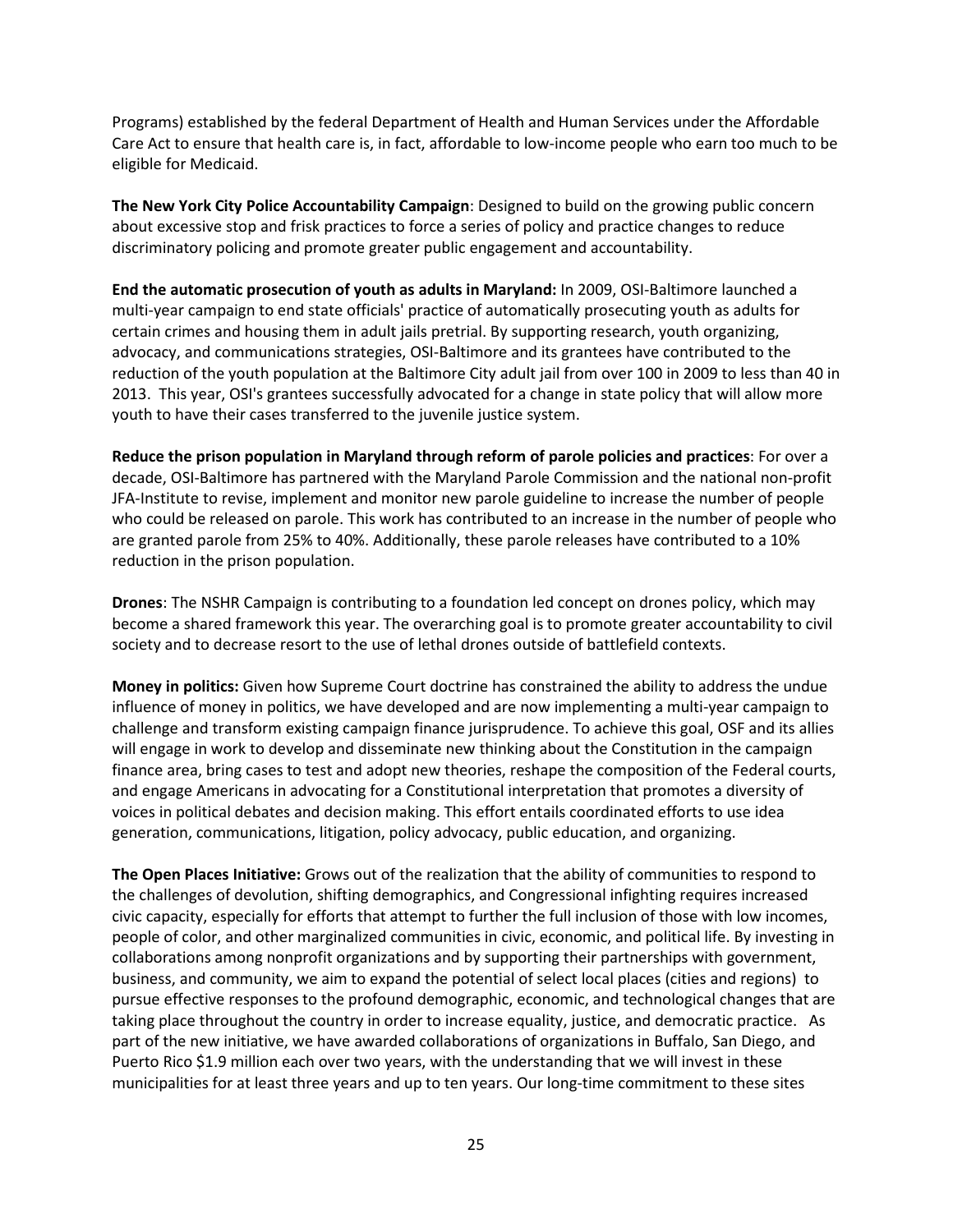Programs) established by the federal Department of Health and Human Services under the Affordable Care Act to ensure that health care is, in fact, affordable to low-income people who earn too much to be eligible for Medicaid.

**The New York City Police Accountability Campaign**: Designed to build on the growing public concern about excessive stop and frisk practices to force a series of policy and practice changes to reduce discriminatory policing and promote greater public engagement and accountability.

**End the automatic prosecution of youth as adults in Maryland:** In 2009, OSI-Baltimore launched a multi-year campaign to end state officials' practice of automatically prosecuting youth as adults for certain crimes and housing them in adult jails pretrial. By supporting research, youth organizing, advocacy, and communications strategies, OSI-Baltimore and its grantees have contributed to the reduction of the youth population at the Baltimore City adult jail from over 100 in 2009 to less than 40 in 2013. This year, OSI's grantees successfully advocated for a change in state policy that will allow more youth to have their cases transferred to the juvenile justice system.

**Reduce the prison population in Maryland through reform of parole policies and practices**: For over a decade, OSI-Baltimore has partnered with the Maryland Parole Commission and the national non-profit JFA-Institute to revise, implement and monitor new parole guideline to increase the number of people who could be released on parole. This work has contributed to an increase in the number of people who are granted parole from 25% to 40%. Additionally, these parole releases have contributed to a 10% reduction in the prison population.

**Drones**: The NSHR Campaign is contributing to a foundation led concept on drones policy, which may become a shared framework this year. The overarching goal is to promote greater accountability to civil society and to decrease resort to the use of lethal drones outside of battlefield contexts.

**Money in politics:** Given how Supreme Court doctrine has constrained the ability to address the undue influence of money in politics, we have developed and are now implementing a multi-year campaign to challenge and transform existing campaign finance jurisprudence. To achieve this goal, OSF and its allies will engage in work to develop and disseminate new thinking about the Constitution in the campaign finance area, bring cases to test and adopt new theories, reshape the composition of the Federal courts, and engage Americans in advocating for a Constitutional interpretation that promotes a diversity of voices in political debates and decision making. This effort entails coordinated efforts to use idea generation, communications, litigation, policy advocacy, public education, and organizing.

**The Open Places [Initiative:](http://www.opensocietyfoundations.org/voices/introducing-open-places-initiative)** Grows out of the realization that the ability of communities to respond to the challenges of devolution, shifting demographics, and Congressional infighting requires increased civic capacity, especially for efforts that attempt to further the full inclusion of those with low incomes, people of color, and other marginalized communities in civic, economic, and political life. By investing in collaborations among nonprofit organizations and by supporting their partnerships with government, business, and community, we aim to expand the potential of select local places (cities and regions) to pursue effective responses to the profound demographic, economic, and technological changes that are taking place throughout the country in order to increase equality, justice, and democratic practice. As part of the new initiative, we have awarded collaborations of organizations in Buffalo, San Diego, and Puerto Rico \$1.9 million each over two years, with the understanding that we will invest in these municipalities for at least three years and up to ten years. Our long-time commitment to these sites